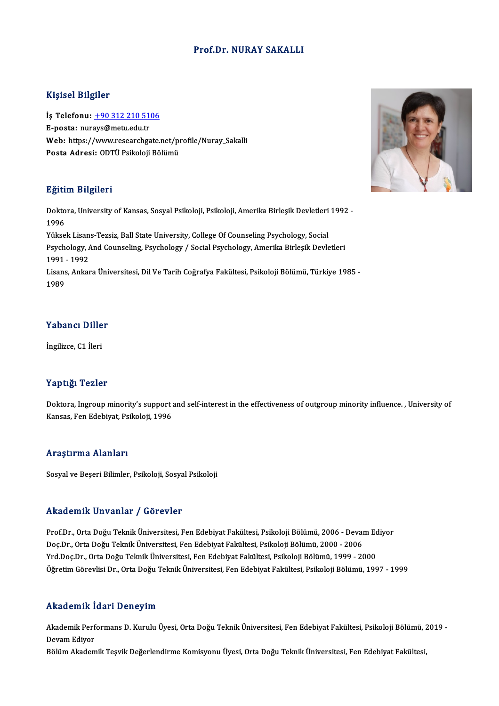#### Prof.Dr. NURAY SAKALLI

#### Kişisel Bilgiler

Kişisel Bilgiler<br>İş Telefonu: <u>+90 312 210 5106</u><br>E nosta: nurays@matu.edu.tr 11131021<br>İş Telefonu: <u>+90 312 210 51</u><br>E-posta: nur[ays@metu.edu.tr](tel:+90 312 210 5106)<br>Web: https://www.researchga İş Telefonu: <u>+90 312 210 5106</u><br>E-posta: nurays@metu.edu.tr<br>Web: https://www.researchgate.net/profile/Nuray\_Sakalli<br>Posta Adresi: ODTÜ Psikoleji Pälümü E-posta: nurays@metu.edu.tr<br>Web: https://www.researchgate.net/pı<br>Posta Adresi: ODTÜ Psikoloji Bölümü Posta Adresi: ODTÜ Psikoloji Bölümü<br>Eğitim Bilgileri

**Eğitim Bilgileri**<br>Doktora, University of Kansas, Sosyal Psikoloji, Psikoloji, Amerika Birleşik Devletleri 1992 -<br>1996 ngraf<br>Dokto<br>1996<br><sup>Välses</sup> Doktora, University of Kansas, Sosyal Psikoloji, Psikoloji, Amerika Birleşik Devletleri<br>1996<br>Yüksek Lisans-Tezsiz, Ball State University, College Of Counseling Psychology, Social<br>Psychology, And Counseling, Psychology, / S 1996<br>Yüksek Lisans-Tezsiz, Ball State University, College Of Counseling Psychology, Social<br>Psychology, And Counseling, Psychology / Social Psychology, Amerika Birleşik Devletleri<br>1991 - 1992 Yüksek Lisans-Tezsiz, Ball State University, College Of Counseling Psychology, Social Psychology, And Counseling, Psychology / Social Psychology, Amerika Birleşik Devletleri<br>1991 - 1992<br>Lisans, Ankara Üniversitesi, Dil Ve Tarih Coğrafya Fakültesi, Psikoloji Bölümü, Türkiye 1985 -<br>1999 1991<br>Lisans<br>1989

# .<br>Yabancı Diller Y<mark>abancı Dille</mark><br>İngilizce, C1 İleri

İngilizce, C1 İleri<br>Yaptığı Tezler

Doktora, Ingroup minority's support and self-interest in the effectiveness of outgroup minority influence. , University of Kansas, Fen Edebiyat, Psikoloji, 1996

#### Araştırma Alanları

Sosyal ve Beşeri Bilimler, Psikoloji, Sosyal Psikoloji

#### Akademik Unvanlar / Görevler

Akademik Unvanlar / Görevler<br>Prof.Dr., Orta Doğu Teknik Üniversitesi, Fen Edebiyat Fakültesi, Psikoloji Bölümü, 2006 - Devam Ediyor<br>Des Dr., Orta Doğu Teknik Üniversitesi, Fen Edebiyat Fakültesi, Psikoloji Bölümü, 2000, 20 rındu olirin "oli valitar" yı döz ovter<br>Prof.Dr., Orta Doğu Teknik Üniversitesi, Fen Edebiyat Fakültesi, Psikoloji Bölümü, 2006 - Deval<br>Doç.Dr., Orta Doğu Teknik Üniversitesi, Fen Edebiyat Fakültesi, Psikoloji Bölümü, 2000 Prof.Dr., Orta Doğu Teknik Üniversitesi, Fen Edebiyat Fakültesi, Psikoloji Bölümü, 2006 - Devam Ed<br>Doç.Dr., Orta Doğu Teknik Üniversitesi, Fen Edebiyat Fakültesi, Psikoloji Bölümü, 2000 - 2006<br>Yrd.Doç.Dr., Orta Doğu Teknik Doç.Dr., Orta Doğu Teknik Üniversitesi, Fen Edebiyat Fakültesi, Psikoloji Bölümü, 2000 - 2006<br>Yrd.Doç.Dr., Orta Doğu Teknik Üniversitesi, Fen Edebiyat Fakültesi, Psikoloji Bölümü, 1999 - 2000<br>Öğretim Görevlisi Dr., Orta Do

#### Akademik İdari Deneyim

**Akademik İdari Deneyim**<br>Akademik Performans D. Kurulu Üyesi, Orta Doğu Teknik Üniversitesi, Fen Edebiyat Fakültesi, Psikoloji Bölümü, 2019 -<br>Davam Ediyan rikaa omini<br>Akademik Perf<br>Devam Ediyor<br>Bölüm Akadem Akademik Performans D. Kurulu Üyesi, Orta Doğu Teknik Üniversitesi, Fen Edebiyat Fakültesi, Psikoloji Bölümü, 2<br>Devam Ediyor<br>Bölüm Akademik Teşvik Değerlendirme Komisyonu Üyesi, Orta Doğu Teknik Üniversitesi, Fen Edebiyat

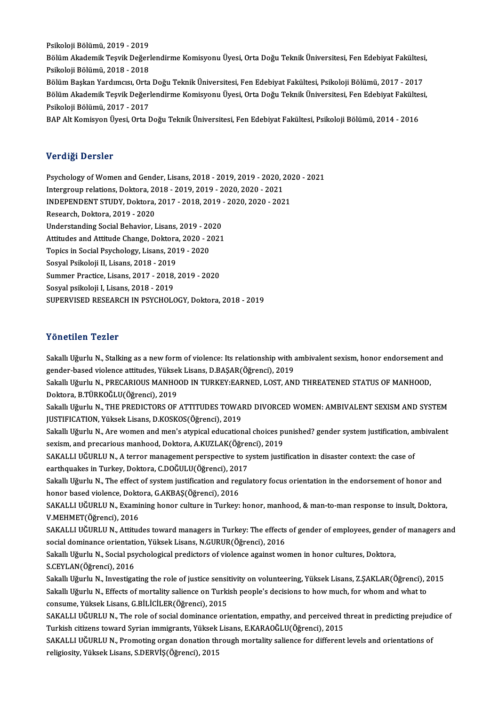Psikoloji Bölümü, 2019 - 2019 Psikoloji Bölümü, 2019 - 2019<br>Bölüm Akademik Teşvik Değerlendirme Komisyonu Üyesi, Orta Doğu Teknik Üniversitesi, Fen Edebiyat Fakültesi,<br>Psikoloji Bölümü, 2018 - 2018 Psikoloji Bölümü, 2019 - 2019<br>Bölüm Akademik Teşvik Değerl<br>Psikoloji Bölümü, 2018 - 2018<br>Bölüm Boskan Varduması, Orta Bölüm Akademik Teşvik Değerlendirme Komisyonu Üyesi, Orta Doğu Teknik Üniversitesi, Fen Edebiyat Fakültesi<br>Psikoloji Bölümü, 2018 - 2018<br>Bölüm Alademik Tesvik Değenlendirme Komisyonu Üyesi, Fen Edebiyat Fakültesi, Psikoloj Psikoloji Bölümü, 2018 - 2018<br>Bölüm Başkan Yardımcısı, Orta Doğu Teknik Üniversitesi, Fen Edebiyat Fakültesi, Psikoloji Bölümü, 2017 - 2017<br>Bölüm Akademik Teşvik Değerlendirme Komisyonu Üyesi, Orta Doğu Teknik Üniversitesi Bölüm Başkan Yardımcısı, Orta Doğu Teknik Üniversitesi, Fen Edebiyat Fakültesi, Psikoloji Bölümü, 2017 - 2017<br>Bölüm Akademik Teşvik Değerlendirme Komisyonu Üyesi, Orta Doğu Teknik Üniversitesi, Fen Edebiyat Fakültes<br>Psikol Bölüm Akademik Teşvik Değerlendirme Komisyonu Üyesi, Orta Doğu Teknik Üniversitesi, Fen Edebiyat Fakülte:<br>Psikoloji Bölümü, 2017 - 2017<br>BAP Alt Komisyon Üyesi, Orta Doğu Teknik Üniversitesi, Fen Edebiyat Fakültesi, Psikolo

## Verdiği Dersler

Verdiği Dersler<br>Psychology of Women and Gender, Lisans, 2018 - 2019, 2019 - 2020, 2020 - 2021<br>Intergreup rektions, Dektore, 2019, 2019, 2019, 2020, 2020, 2021 1919, 2019<br>1999 - Psychology of Women and Gender, Lisans, 2018 - 2019, 2019 - 2020, 2020<br>Intergroup relations, Doktora, 2018 - 2019, 2019 - 2020, 2020 - 2021<br>INDERENDENT STUDY, Doktora, 2017, 2019, 2019, 2020, 2020, 202 Psychology of Women and Gender, Lisans, 2018 - 2019, 2019 - 2020, 20:<br>Intergroup relations, Doktora, 2018 - 2019, 2019 - 2020, 2020 - 2021<br>INDEPENDENT STUDY, Doktora, 2017 - 2018, 2019 - 2020, 2020 - 2021<br>Pessarsh, Doktora Intergroup relations, Doktora, 2018 - 2019, 2019 - 2020, 2020 - 2021<br>INDEPENDENT STUDY, Doktora, 2017 - 2018, 2019 - 2020, 2020 - 20:<br>Research, Doktora, 2019 - 2020<br>Understanding Social Behavior, Lisans, 2019 - 2020 INDEPENDENT STUDY, Doktora, 2017 - 2018, 2019 - 2020, 2020 - 2021 Attitudes and Attitude Change, Doktora, 2020 - 2021 Understanding Social Behavior, Lisans, 2019 - 20<br>Attitudes and Attitude Change, Doktora, 2020 - 2<br>Topics in Social Psychology, Lisans, 2019 - 2020<br>Sosyal Baikalaii II Lisans, 2019 - 2010 Attitudes and Attitude Change, Doktora<br>Topics in Social Psychology, Lisans, 201<br>Sosyal Psikoloji II, Lisans, 2018 - 2019<br>Summar Prastice, Lisans, 2017, 2018 Topics in Social Psychology, Lisans, 2019 - 2020<br>Sosyal Psikoloji II, Lisans, 2018 - 2019<br>Summer Practice, Lisans, 2017 - 2018, 2019 - 2020<br>Sosyal psikoloji I, Lisans, 2019, 2019 Sosyal Psikoloji II, Lisans, 2018 - 2019<br>Summer Practice, Lisans, 2017 - 2018, 2019 - 2020<br>Sosyal psikoloji I, Lisans, 2018 - 2019 SUPERVISED RESEARCH IN PSYCHOLOGY, Doktora, 2018 - 2019

#### Yönetilen Tezler

Yönetilen Tezler<br>Sakallı Uğurlu N., Stalking as a new form of violence: Its relationship with ambivalent sexism, honor endorsement and<br>sender hased violence ettivides. Vülselt Lisens, D.BASAR(Öğmensi), 2019 1 SASENSA 1 SASE<br>Sakallı Uğurlu N., Stalking as a new form of violence: Its relationship with a<br>gender-based violence attitudes, Yüksek Lisans, D.BAŞAR(Öğrenci), 2019<br>Sakallı Uğurlu N., BBECARIOUS MANHOOD IN TURKEV EARNED, Sakallı Uğurlu N., Stalking as a new form of violence: Its relationship with ambivalent sexism, honor endorsement a<br>gender-based violence attitudes, Yüksek Lisans, D.BAŞAR(Öğrenci), 2019<br>Sakallı Uğurlu N., PRECARIOUS MANHO gender-based violence attitudes, Yüksel<br>Sakallı Uğurlu N., PRECARIOUS MANHO<br>Doktora, B.TÜRKOĞLU(Öğrenci), 2019<br>Sakallı Uğurlu N., THE PREDICTORS OF Sakallı Uğurlu N., PRECARIOUS MANHOOD IN TURKEY:EARNED, LOST, AND THREATENED STATUS OF MANHOOD,<br>Doktora, B.TÜRKOĞLU(Öğrenci), 2019<br>Sakallı Uğurlu N., THE PREDICTORS OF ATTITUDES TOWARD DIVORCED WOMEN: AMBIVALENT SEXISM AND Doktora, B.TÜRKOĞLU(Öğrenci), 2019<br>Sakallı Uğurlu N., THE PREDICTORS OF ATTITUDES TOWAI<br>JUSTIFICATION, Yüksek Lisans, D.KOSKOS(Öğrenci), 2019<br>Sakallı Hğurlu N., Are yemen and man's atımisel advestion Sakallı Uğurlu N., THE PREDICTORS OF ATTITUDES TOWARD DIVORCED WOMEN: AMBIVALENT SEXISM AND SYSTEM<br>JUSTIFICATION, Yüksek Lisans, D.KOSKOS(Öğrenci), 2019<br>Sakallı Uğurlu N., Are women and men's atypical educational choices p JUSTIFICATION, Yüksek Lisans, D.KOSKOS(Öğrenci), 2019<br>Sakallı Uğurlu N., Are women and men's atypical educational choices p<br>sexism, and precarious manhood, Doktora, A.KUZLAK(Öğrenci), 2019<br>SAKALLLUĞUPLU N. A tarrar manasam Sakallı Uğurlu N., Are women and men's atypical educational choices punished? gender system justification, ambivalent<br>sexism, and precarious manhood, Doktora, A.KUZLAK(Öğrenci), 2019<br>SAKALLI UĞURLU N., A terror management sexism, and precarious manhood, Doktora, A.KUZLAK(Öğren<br>SAKALLI UĞURLU N., A terror management perspective to sy<br>earthquakes in Turkey, Doktora, C.DOĞULU(Öğrenci), 2017<br>Sakallı Uğurlu N., The effect of system justification SAKALLI UĞURLU N., A terror management perspective to system justification in disaster context: the case of<br>earthquakes in Turkey, Doktora, C.DOĞULU(Öğrenci), 2017<br>Sakallı Uğurlu N., The effect of system justification and earthquakes in Turkey, Doktora, C.DOĞULU(Öğrenci), 201<br>Sakallı Uğurlu N., The effect of system justification and reg<br>honor based violence, Doktora, G.AKBAŞ(Öğrenci), 2016<br>SAKALLULÖUPLU N. Evamining bonor sulture in Turkey. Sakallı Uğurlu N., The effect of system justification and regulatory focus orientation in the endorsement of honor and<br>honor based violence, Doktora, G.AKBAŞ(Öğrenci), 2016<br>SAKALLI UĞURLU N., Examining honor culture in Tur honor based violence, Doktora, G.AKBAŞ(Öğrenci), 2016<br>SAKALLI UĞURLU N., Examining honor culture in Turkey: honor, manhood, & man-to-man response to insult, Doktora,<br>V.MEHMET(Öğrenci), 2016 SAKALLI UĞURLU N., Examining honor culture in Turkey: honor, manhood, & man-to-man response to insult, Doktora,<br>V.MEHMET(Öğrenci), 2016<br>SAKALLI UĞURLU N., Attitudes toward managers in Turkey: The effects of gender of emplo V.MEHMET(Öğrenci), 2016<br>SAKALLI UĞURLU N., Attitudes toward managers in Turkey: The effects<br>social dominance orientation, Yüksek Lisans, N.GURUR(Öğrenci), 2016<br>Sekallı Uğurlu N. Social pevebologiasl predistore of violones SAKALLI UĞURLU N., Attitudes toward managers in Turkey: The effects of gender of employees, gender<br>social dominance orientation, Yüksek Lisans, N.GURUR(Öğrenci), 2016<br>Sakallı Uğurlu N., Social psychological predictors of v social dominance orientati<br>Sakallı Uğurlu N., Social psy<br>S.CEYLAN(Öğrenci), 2016<br>Sakallı Uğurlu N. Investise Sakallı Uğurlu N., Social psychological predictors of violence against women in honor cultures, Doktora,<br>S.CEYLAN(Öğrenci), 2016<br>Sakallı Uğurlu N., Investigating the role of justice sensitivity on volunteering, Yüksek Lisa S.CEYLAN(Öğrenci), 2016<br>Sakallı Uğurlu N., Investigating the role of justice sensitivity on volunteering, Yüksek Lisans, Z.ŞAKLAR(Öğrenci), 2<br>Sakallı Uğurlu N., Effects of mortality salience on Turkish people's decisions t Sakallı Uğurlu N., Investigating the role of justice sensi<br>Sakallı Uğurlu N., Effects of mortality salience on Turki<br>consume, Yüksek Lisans, G.BİLİCİLER(Öğrenci), 2015<br>SAKALLUĞURLU N., The role of sasial dominanse ori Sakallı Uğurlu N., Effects of mortality salience on Turkish people's decisions to how much, for whom and what to<br>consume, Yüksek Lisans, G.BİLİCİLER(Öğrenci), 2015 consume, Yüksek Lisans, G.BİLİCİLER(Öğrenci), 2015<br>SAKALLI UĞURLU N., The role of social dominance orientation, empathy, and perceived t<br>Turkish citizens toward Syrian immigrants, Yüksek Lisans, E.KARAOĞLU(Öğrenci), 2015<br>S SAKALLI UĞURLU N., The role of social dominance orientation, empathy, and perceived threat in predicting prejudice of<br>Turkish citizens toward Syrian immigrants, Yüksek Lisans, E.KARAOĞLU(Öğrenci), 2015<br>SAKALLI UĞURLU N., P Turkish citizens toward Syrian immigrants, Yüksek<br>SAKALLI UĞURLU N., Promoting organ donation th<br>religiosity, Yüksek Lisans, S.DERVİŞ(Öğrenci), 2015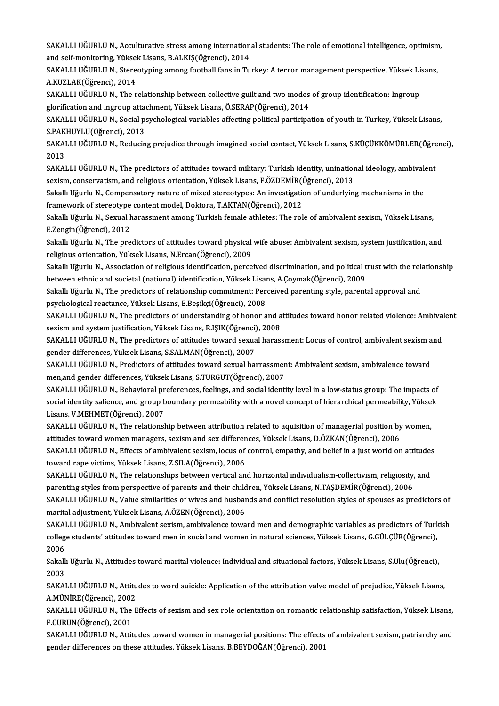SAKALLI UĞURLU N., Acculturative stress among international students: The role of emotional intelligence, optimism,<br>and self monitoring, Vülteek Lisens, B.ALVIS(Öğmensi), 2014. SAKALLI UĞURLU N., Acculturative stress among internation<br>and self-monitoring, Yüksek Lisans, B.ALKIŞ(Öğrenci), 2014<br>SAKALLULÖURLU N., Stereetyming emeng foetball fans in Tu SAKALLI UĞURLU N., Acculturative stress among international students: The role of emotional intelligence, optimism<br>and self-monitoring, Yüksek Lisans, B.ALKIŞ(Öğrenci), 2014<br>SAKALLI UĞURLU N., Stereotyping among football f

and self-monitoring, Yüksek Lisans, B.ALKIŞ(Öğrenci), 2014<br>SAKALLI UĞURLU N., Stereotyping among football fans in Turkey: A terror management perspective, Yüksek Lisans,<br>A.KUZLAK(Öğrenci), 2014 SAKALLI UĞURLU N., Stereotyping among football fans in Turkey: A terror management perspective, Yüksek Li:<br>A.KUZLAK(Öğrenci), 2014<br>SAKALLI UĞURLU N., The relationship between collective guilt and two modes of group identif

A.KUZLAK(Öğrenci), 2014<br>SAKALLI UĞURLU N., The relationship between collective guilt and two modes<br>glorification and ingroup attachment, Yüksek Lisans, Ö.SERAP(Öğrenci), 2014<br>SAKALLUJÖUPLU N. Social psychologisel verjables SAKALLI UĞURLU N., The relationship between collective guilt and two modes of group identification: Ingroup<br>glorification and ingroup attachment, Yüksek Lisans, Ö.SERAP(Öğrenci), 2014<br>SAKALLI UĞURLU N., Social psychologica

glorification and ingroup atta<br>SAKALLI UĞURLU N., Social p:<br>S.PAKHUYLU(Öğrenci), 2013<br>SAKALLI UĞUPLU N., Boducin SAKALLI UĞURLU N., Social psychological variables affecting political participation of youth in Turkey, Yüksek Lisans,<br>S.PAKHUYLU(Öğrenci), 2013<br>SAKALLI UĞURLU N., Reducing prejudice through imagined social contact, Yüksek

S.PAK<br>SAKAI<br>2013<br>SAKAI SAKALLI UĞURLU N., Reducing prejudice through imagined social contact, Yüksek Lisans, S.KÜÇÜKKÖMÜRLER(Öğre<br>2013<br>SAKALLI UĞURLU N., The predictors of attitudes toward military: Turkish identity, uninational ideology, ambiva

2013<br>SAKALLI UĞURLU N., The predictors of attitudes toward military: Turkish identity, unination<br>sexism, conservatism, and religious orientation, Yüksek Lisans, F.ÖZDEMİR(Öğrenci), 2013<br>Sekallı Uğurlu N. Componestoru natur SAKALLI UĞURLU N., The predictors of attitudes toward military: Turkish identity, uninational ideology, ambivale<br>sexism, conservatism, and religious orientation, Yüksek Lisans, F.ÖZDEMİR(Öğrenci), 2013<br>Sakallı Uğurlu N., C

sexism, conservatism, and religious orientation, Yüksek Lisans, F.ÖZDEMİR(Ö<br>Sakallı Uğurlu N., Compensatory nature of mixed stereotypes: An investigation<br>framework of stereotype content model, Doktora, T.AKTAN(Öğrenci), 20 Sakallı Uğurlu N., Compensatory nature of mixed stereotypes: An investigation of underlying mechanisms in the<br>framework of stereotype content model, Doktora, T.AKTAN(Öğrenci), 2012<br>Sakallı Uğurlu N., Sexual harassment amon

framework of stereotype<br>Sakallı Uğurlu N., Sexual I<br>E.Zengin(Öğrenci), 2012<br>Sakallı Uğurlu N., The pre Sakallı Uğurlu N., Sexual harassment among Turkish female athletes: The role of ambivalent sexism, Yüksek Lisans,<br>E.Zengin(Öğrenci), 2012<br>Sakallı Uğurlu N., The predictors of attitudes toward physical wife abuse: Ambivalen

E.Zengin(Öğrenci), 2012<br>Sakallı Uğurlu N., The predictors of attitudes toward physical<br>religious orientation, Yüksek Lisans, N.Ercan(Öğrenci), 2009<br>Sakallı Uğurlu N., Assesistion of religious identifisation, perse Sakallı Uğurlu N., The predictors of attitudes toward physical wife abuse: Ambivalent sexism, system justification, and<br>religious orientation, Yüksek Lisans, N.Ercan(Öğrenci), 2009<br>Sakallı Uğurlu N., Association of religio

religious orientation, Yüksek Lisans, N.Ercan(Öğrenci), 2009<br>Sakallı Uğurlu N., Association of religious identification, perceived discrimination, and political t<br>between ethnic and societal (national) identification, Yüks Sakallı Uğurlu N., Association of religious identification, perceived discrimination, and political trust with the relationship commitment: Perceived parenting style, parental approval and societal (national) identificatio

between ethnic and societal (national) identification, Yüksek Lisans, A.Çoymak(Öğrenci), 2009<br>Sakallı Uğurlu N., The predictors of relationship commitment: Perceived parenting style, parental approval and<br>psychological rea Sakallı Uğurlu N., The predictors of relationship commitment: Perceived parenting style, parental approval and<br>psychological reactance, Yüksek Lisans, E.Beşikçi(Öğrenci), 2008<br>SAKALLI UĞURLU N., The predictors of understan

psychological reactance, Yüksek Lisans, E.Beşikçi(Öğrenci), 2008<br>SAKALLI UĞURLU N., The predictors of understanding of honor and a<br>sexism and system justification, Yüksek Lisans, R.IŞIK(Öğrenci), 2008<br>SAKALLUĞURLU N., The SAKALLI UĞURLU N., The predictors of understanding of honor and attitudes toward honor related violence: Ambival<br>sexism and system justification, Yüksek Lisans, R.IŞIK(Öğrenci), 2008<br>SAKALLI UĞURLU N., The predictors of at

sexism and system justification, Yüksek Lisans, R.IŞIK(Öğrenci), 2008<br>SAKALLI UĞURLU N., The predictors of attitudes toward sexual harassment: Locus of control, ambivalent sexism and<br>gender differences, Yüksek Lisans, S.SA SAKALLI UĞURLU N., The predictors of attitudes toward sexual harassment: Locus of control, ambivalent sexism a<br>gender differences, Yüksek Lisans, S.SALMAN(Öğrenci), 2007<br>SAKALLI UĞURLU N., Predictors of attitudes toward se

gender differences, Yüksek Lisans, S.SALMAN(Öğrenci), 2007<br>SAKALLI UĞURLU N., Predictors of attitudes toward sexual harrassmer<br>men,and gender differences, Yüksek Lisans, S.TURGUT(Öğrenci), 2007<br>SAKALLLUĞUPLU N. Pehavioral SAKALLI UĞURLU N., Predictors of attitudes toward sexual harrassment: Ambivalent sexism, ambivalence toward<br>men,and gender differences, Yüksek Lisans, S.TURGUT(Öğrenci), 2007<br>SAKALLI UĞURLU N., Behavioral preferences, feel

men,and gender differences, Yüksek Lisans, S.TURGUT(Öğrenci), 2007<br>SAKALLI UĞURLU N., Behavioral preferences, feelings, and social identity level in a low-status group: The impacts of<br>social identity salience, and group bo SAKALLI UĞURLU N., Behavioral pr<br>social identity salience, and group b<br>Lisans, V.MEHMET(Öğrenci), 2007<br>SAKALLLUĞUPLU N. The rektionel social identity salience, and group boundary permeability with a novel concept of hierarchical permeability, Yükse<br>Lisans, V.MEHMET(Öğrenci), 2007<br>SAKALLI UĞURLU N., The relationship between attribution related to aquisiti

Lisans, V.MEHMET(Öğrenci), 2007<br>SAKALLI UĞURLU N., The relationship between attribution related to aquisition of managerial position by<br>attitudes toward women managers, sexism and sex differences, Yüksek Lisans, D.ÖZKAN(Öğ SAKALLI UĞURLU N., The relationship between attribution related to aquisition of managerial position by women,<br>attitudes toward women managers, sexism and sex differences, Yüksek Lisans, D.ÖZKAN(Öğrenci), 2006<br>SAKALLI UĞUR

attitudes toward women managers, sexism and sex differences, Yüksek Lisans, D.ÖZKAN(Öğrenci), 2006<br>SAKALLI UĞURLU N., Effects of ambivalent sexism, locus of control, empathy, and belief in a just world on attitudes<br>toward SAKALLI UĞURLU N., Effects of ambivalent sexism, locus of control, empathy, and belief in a just world on attitudes<br>toward rape victims, Yüksek Lisans, Z.SILA(Öğrenci), 2006<br>SAKALLI UĞURLU N., The relationships between ver

toward rape victims, Yüksek Lisans, Z.SILA(Öğrenci), 2006<br>SAKALLI UĞURLU N., The relationships between vertical and horizontal individualism-collectivism, religiosity,<br>parenting styles from perspective of parents and their SAKALLI UĞURLU N., The relationships between vertical and horizontal individualism-collectivism, religiosity, and<br>parenting styles from perspective of parents and their children, Yüksek Lisans, N.TAŞDEMİR(Öğrenci), 2006<br>SA parenting styles from perspective of parents and their child<br>SAKALLI UĞURLU N., Value similarities of wives and husbar<br>marital adjustment, Yüksek Lisans, A.ÖZEN(Öğrenci), 2006<br>SAKALLUĞURLU N. Ambiyalart savism, ambiyalansa SAKALLI UĞURLU N., Value similarities of wives and husbands and conflict resolution styles of spouses as predictors of<br>marital adjustment, Yüksek Lisans, A.ÖZEN(Öğrenci), 2006<br>SAKALLI UĞURLU N., Ambivalent sexism, ambivale

marital adjustment, Yüksek Lisans, A.ÖZEN(Öğrenci), 2006<br>SAKALLI UĞURLU N., Ambivalent sexism, ambivalence toward men and demographic variables as predictors of Turk<br>college students' attitudes toward men in social and wom SAKA<br>college<br>2006<br>Sakall college students' attitudes toward men in social and women in natural sciences, Yüksek Lisans, G.GÜLÇÜR(Öğrenci),<br>2006<br>Sakallı Uğurlu N., Attitudes toward marital violence: Individual and situational factors, Yüksek Lisans

2006<br>Sakallı Uğurlu N., Attitudes toward marital violence: Individual and situational factors, Yüksek Lisans, S.Ulu(Öğrenci),<br>2003 Sakallı Uğurlu N., Attitudes toward marital violence: Individual and situational factors, Yüksek Lisans, S.Ulu(Öğrenci),<br>2003<br>SAKALLI UĞURLU N., Attitudes to word suicide: Application of the attribution valve model of prej

2003<br>SAKALLI UĞURLU N., Attitu<br>A.MÜNİRE(Öğrenci), 2002<br>SAKALLLUĞUPLU N., The E SAKALLI UĞURLU N., Attitudes to word suicide: Application of the attribution valve model of prejudice, Yüksek Lisans,<br>A.MÜNİRE(Öğrenci), 2002<br>SAKALLI UĞURLU N., The Effects of sexism and sex role orientation on romantic re

A.MÜNİRE(Öğrenci), 2002<br>SAKALLI UĞURLU N., The<br>F.CURUN(Öğrenci), 2001<br>SAKALLUĞURLU N., Atti SAKALLI UĞURLU N., The Effects of sexism and sex role orientation on romantic relationship satisfaction, Yüksek Lisans,<br>F.CURUN(Öğrenci), 2001<br>SAKALLI UĞURLU N., Attitudes toward women in managerial positions: The effects

F.CURUN(Öğrenci), 2001<br>SAKALLI UĞURLU N., Attitudes toward women in managerial positions: The effects of ambivalent sexism, patriarchy and<br>gender differences on these attitudes, Yüksek Lisans, B.BEYDOĞAN(Öğrenci), 2001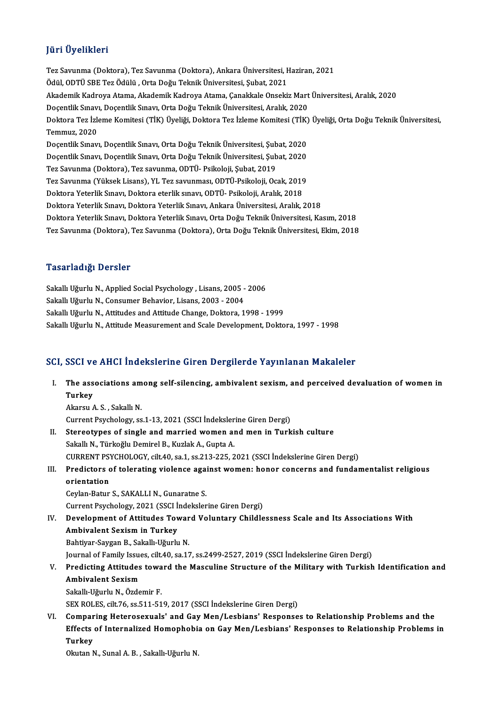## JüriÜyelikleri

**Jüri Üyelikleri**<br>Tez Savunma (Doktora), Tez Savunma (Doktora), Ankara Üniversitesi, Haziran, 2021<br>Ödül ODTÜ SBE Teg Ödülü, Orta Doğu Telmik Üniversitesi Subet, 2021 Jarr Oyommorr<br>Tez Savunma (Doktora), Tez Savunma (Doktora), Ankara Üniversitesi, F<br>Ödül, ODTÜ SBE Tez Ödülü , Orta Doğu Teknik Üniversitesi, Şubat, 2021<br>Akademik Kadnava Atama, Akademik Kadnava Atama, Canakkala Onsaki Tez Savunma (Doktora), Tez Savunma (Doktora), Ankara Üniversitesi, Haziran, 2021<br>Ödül, ODTÜ SBE Tez Ödülü , Orta Doğu Teknik Üniversitesi, Şubat, 2021<br>Akademik Kadroya Atama, Akademik Kadroya Atama, Çanakkale Onsekiz Mart Ödül, ODTÜ SBE Tez Ödülü , Orta Doğu Teknik Üniversitesi, Şubat, 2021<br>Akademik Kadroya Atama, Akademik Kadroya Atama, Çanakkale Onsekiz Mart<br>Doçentlik Sınavı, Doçentlik Sınavı, Orta Doğu Teknik Üniversitesi, Aralık, 2020<br>D Akademik Kadroya Atama, Akademik Kadroya Atama, Çanakkale Onsekiz Mart Üniversitesi, Aralık, 2020<br>Doçentlik Sınavı, Doçentlik Sınavı, Orta Doğu Teknik Üniversitesi, Aralık, 2020<br>Doktora Tez İzleme Komitesi (TİK) Üyeliği, D Doçentlik Sınav<br>Doktora Tez İzk<br>Temmuz, 2020<br>Dosantlik Sınav Doktora Tez İzleme Komitesi (TİK) Üyeliği, Doktora Tez İzleme Komitesi (TİK)<br>Temmuz, 2020<br>Doçentlik Sınavı, Doçentlik Sınavı, Orta Doğu Teknik Üniversitesi, Şubat, 2020<br>Doçentlik Sınavı, Doçentlik Sınavı, Orta Doğu Teknik Temmuz, 2020<br>Doçentlik Sınavı, Doçentlik Sınavı, Orta Doğu Teknik Üniversitesi, Şubat, 2020<br>Doçentlik Sınavı, Doçentlik Sınavı, Orta Doğu Teknik Üniversitesi, Şubat, 2020<br>Ter Sauunma (Dektara), Ter sauunma, ODTÜ, Beikeleji Doçentlik Sınavı, Doçentlik Sınavı, Orta Doğu Teknik Üniversitesi, Şub<br>Doçentlik Sınavı, Doçentlik Sınavı, Orta Doğu Teknik Üniversitesi, Şub<br>Tez Savunma (Doktora), Tez savunma, ODTÜ- Psikoloji, Şubat, 2019<br>Tez Savunma (Vä Doçentlik Sınavı, Doçentlik Sınavı, Orta Doğu Teknik Üniversitesi, Şubat, 2020<br>Tez Savunma (Doktora), Tez savunma, ODTÜ-Psikoloji, Şubat, 2019<br>Tez Savunma (Yüksek Lisans), YL Tez savunması, ODTÜ-Psikoloji, Ocak, 2019<br>Dokto Tez Savunma (Yüksek Lisans), YL Tez savunması, ODTÜ-Psikoloji, Ocak, 2019 Doktora Yeterlik Sınavı, Doktora Yeterlik Sınavı, Ankara Üniversitesi, Aralık, 2018 Doktora Yeterlik Sınavı, Doktora Yeterlik Sınavı, Orta Doğu Teknik Üniversitesi, Kasım, 2018 Tez Savunma (Doktora),Tez Savunma (Doktora),OrtaDoğuTeknikÜniversitesi,Ekim,2018

#### Tasarladığı Dersler

Tasarladığı Dersler<br>Sakallı Uğurlu N., Applied Social Psychology , Lisans, 2005 - 2006<br>Sakallı Uğurlu N. Consumer Behaviar, Lisans, 2003, ...2004 1 abar raarg.<br>Sakallı Uğurlu N., Applied Social Psychology , Lisans, 2005 -<br>Sakallı Uğurlu N., Consumer Behavior, Lisans, 2003 - 2004<br>Sakallı Uğurlu N., Attitudes and Attitude Change, Dektore, 1 Sakallı Uğurlu N., Consumer Behavior, Lisans, 2003 - 2004<br>Sakallı Uğurlu N., Attitudes and Attitude Change, Doktora, 1998 - 1999 Sakallı Uğurlu N., Attitude Measurement and Scale Development, Doktora, 1997 - 1998

# Sakam ogurlu N., Atutude Measurement and Scale Development, Doktora, 1997 - 1998<br>SCI, SSCI ve AHCI İndekslerine Giren Dergilerde Yayınlanan Makaleler

- CI, SSCI ve AHCI İndekslerine Giren Dergilerde Yayınlanan Makaleler<br>I. The associations among self-silencing, ambivalent sexism, and perceived devaluation of women in<br> Turkey The associations among self-silencing, ambivalent sexism, and perceived devaluation of women in<br>Turkey Akarsu A.S., Sakallı N. Turkey<br>Akarsu A. S. , Sakallı N.<br>Current Psychology, ss.1-13, 2021 (SSCI İndekslerine Giren Dergi)<br>Stereetunes of single and married wemen and men in Turk II. Stereotypes of single and married women and men in Turkish culture<br>Sakallı N., Türkoğlu Demirel B., Kuzlak A., Gupta A. Current Psychology, ss.1-13, 2021 (SSCI İndeksler<br>Stereotypes of single and married women are<br>Sakallı N., Türkoğlu Demirel B., Kuzlak A., Gupta A.<br>CUPPENT PSYCHOLOCY, silt 40, ss.1, ss.212, 225, 2 CURRENTPSYCHOLOGY, cilt.40, sa.1, ss.213-225,2021 (SSCI İndekslerineGirenDergi) Sakallı N., Türkoğlu Demirel B., Kuzlak A., Gupta A.<br>CURRENT PSYCHOLOGY, cilt.40, sa.1, ss.213-225, 2021 (SSCI İndekslerine Giren Dergi)<br>III. Predictors of tolerating violence against women: honor concerns and fundamentali **CURRENT PS<br>Predictors c<br>orientation**<br>Cevlan Batur Predictors of tolerating violence aga:<br>orientation<br>Ceylan-Batur S., SAKALLI N., Gunaratne S.<br>Current Peychology, 2021 (SSCLIndekaler orientation<br>Ceylan-Batur S., SAKALLI N., Gunaratne S.<br>Current Psychology, 2021 (SSCI İndekslerine Giren Dergi) Ceylan-Batur S., SAKALLI N., Gunaratne S.<br>Current Psychology, 2021 (SSCI İndekslerine Giren Dergi)<br>IV. Development of Attitudes Toward Voluntary Childlessness Scale and Its Associations With<br>Ambivelant Saviam in Turkay Current Psychology, 2021 (SSCI İ:<br>Development of Attitudes Tov<br>Ambivalent Sexism in Turkey<br>Behtivar Savzar B. Sakallı Hăurlu Development of Attitudes Towar<br>Ambivalent Sexism in Turkey<br>Bahtiyar-Saygan B., Sakallı-Uğurlu N.<br>Journal of Family Jesues, silt 40, sa 17 Ambivalent Sexism in Turkey<br>Bahtiyar-Saygan B., Sakallı-Uğurlu N.<br>Journal of Family Issues, cilt.40, sa.17, ss.2499-2527, 2019 (SSCI İndekslerine Giren Dergi)<br>Predistins Attitudes toward the Massuline Strusture of the Mili Bahtiyar-Saygan B., Sakallı-Uğurlu N.<br>Journal of Family Issues, cilt.40, sa.17, ss.2499-2527, 2019 (SSCI İndekslerine Giren Dergi)<br>V. Predicting Attitudes toward the Masculine Structure of the Military with Turkish Ide
- Journal of Family Issue<br><mark>Predicting Attitudes</mark><br>Ambivalent Sexism<br>Sekally Uğurlu N. Özde Sakallı-Uğurlu N., Özdemir F.

SEX ROLES, cilt.76, ss.511-519, 2017 (SSCI İndekslerine Giren Dergi)

Sakallı-Uğurlu N., Özdemir F.<br>SEX ROLES, cilt.76, ss.511-519, 2017 (SSCI İndekslerine Giren Dergi)<br>VI. Comparing Heterosexuals' and Gay Men/Lesbians' Responses to Relationship Problems and the<br>Effects of Internalized Hemen SEX ROLES, cilt.76, ss.511-519, 2017 (SSCI İndekslerine Giren Dergi)<br>Comparing Heterosexuals' and Gay Men/Lesbians' Responses to Relationship Problems and the<br>Effects of Internalized Homophobia on Gay Men/Lesbians' Respons Compar<br>Effects<br>Turkey<br><sup>Olptton N</sup> Effects of Internalized Homophobi<br>Turkey<br>Okutan N., Sunal A. B. , Sakallı-Uğurlu N.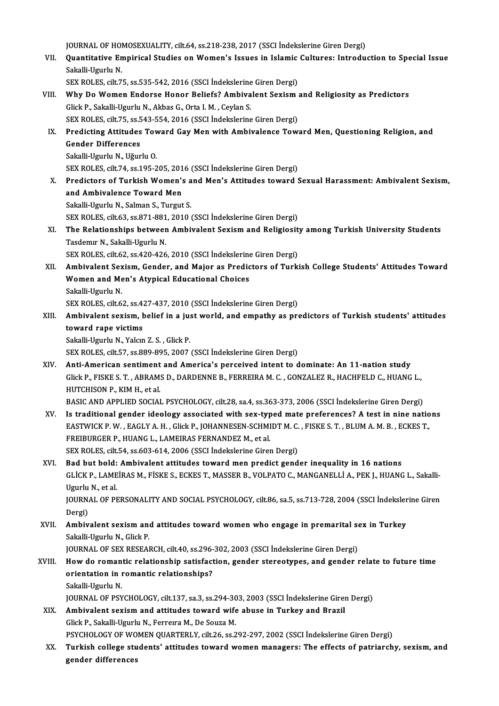JOURNAL OF HOMOSEXUALITY, cilt.64, ss.218-238, 2017 (SSCI İndekslerine Giren Dergi)<br>Quantitative Emninical Studies en Wemen's Issues in Islamis Cultures: Introdu

JOURNAL OF HOMOSEXUALITY, cilt.64, ss.218-238, 2017 (SSCI İndekslerine Giren Dergi)<br>VII. Quantitative Empirical Studies on Women's Issues in Islamic Cultures: Introduction to Special Issue<br>Sekalli Hayrly N **JOURNAL OF HOI<br>Quantitative En<br>Sakalli-Ugurlu N.**<br>SEY POLES silt 7 Quantitative Empirical Studies on Women's Issues in Islamic<br>Sakalli-Ugurlu N.<br>SEX ROLES, cilt.75, ss.535-542, 2016 (SSCI İndekslerine Giren Dergi)<br>Why De Women Enderge Haner Beliefe? Ambiyelent Seviem

- Sakalli-Ugurlu N.<br>SEX ROLES, cilt.75, ss.535-542, 2016 (SSCI Indekslerine Giren Dergi)<br>VIII. Why Do Women Endorse Honor Beliefs? Ambivalent Sexism and Religiosity as Predictors<br>Click B. Sakalli Haurly N. Akbas G. Orta L.M. SEX ROLES, cilt.75, ss.535-542, 2016 (SSCI İndekslerine Giren Dergi)<br>Why Do Women Endorse Honor Beliefs? Ambivalent Sexism<br>Glick P., Sakalli-Ugurlu N., Akbas G., Orta I.M. , Ceylan S. Why Do Women Endorse Honor Beliefs? Ambivalent Sexism<br>Glick P., Sakalli-Ugurlu N., Akbas G., Orta I. M. , Ceylan S.<br>SEX ROLES, cilt.75, ss.543-554, 2016 (SSCI İndekslerine Giren Dergi)<br>Predisting Attitudes Toward Cay Man w Glick P., Sakalli-Ugurlu N., Akbas G., Orta I. M. , Ceylan S.<br>IX. Predicting Attitudes Toward Gay Men with Ambivalence Toward Men, Questioning Religion, and<br>Conder Differences
- SEX ROLES, cilt.75, ss.543-554, 2016 (SSCI İndekslerine Giren Dergi)<br>Predicting Attitudes Toward Gay Men with Ambivalence Tow<br>Gender Differences<br>Sakalli-Ugurlu N., Uğurlu O. **Predicting Attitudes Tov<br>Gender Differences<br>Sakalli-Ugurlu N., Uğurlu O.<br>SEV POLES cilt 74 cc 105 ?** Gender Differences<br>Sakalli-Ugurlu N., Uğurlu O.<br>SEX ROLES, cilt.74, ss.195-205, 2016 (SSCI İndekslerine Giren Dergi)<br>Predistors of Turkish Woman's and Man's Attitudes toward (

X. Predictors of Turkish Women's and Men's Attitudes toward Sexual Harassment: Ambivalent Sexism,<br>and Ambivalence Toward Men SEX ROLES, cilt.74, ss.195-205, 201<br>Predictors of Turkish Women's<br>and Ambivalence Toward Men<br>Sekelli Haurly N. Selman S. Turgut and Ambivalence Toward Men<br>Sakalli-Ugurlu N., Salman S., Turgut S.<br>SEX ROLES, cilt.63, ss.871-881, 2010 (SSCI İndekslerine Giren Dergi)<br>The Belationshine betusen Ambivalent Seviem and Belisiesit

Sakalli-Ugurlu N., Salman S., Turgut S.

XI. The Relationships between Ambivalent Sexism and Religiosity among Turkish University Students<br>Tasdemir N., Sakalli-Ugurlu N. SEX ROLES, cilt.63, ss.871-881<br>The Relationships betweer<br>Tasdemır N., Sakalli-Ugurlu N.<br>SEX POLES, cilt.63, ss.420,426

SEX ROLES, cilt.62, ss.420-426, 2010 (SSCI İndekslerine Giren Dergi)

XII. Ambivalent Sexism, Gender, and Major as Predictors of Turkish College Students' Attitudes Toward SEX ROLES, cilt.62, ss.420-426, 2010 (SSCI İndekslerine<br>Ambivalent Sexism, Gender, and Major as Predic<br>Women and Men's Atypical Educational Choices<br>Sekalli Ururlu N **Ambivalent Sex<br>Women and Me<br>Sakalli-Ugurlu N.<br>SEX POLES cilt 6** 

Sakalli-Ugurlu N.<br>SEX ROLES, cilt.62, ss.427-437, 2010 (SSCI İndekslerine Giren Dergi)

Sakalli-Ugurlu N.<br>SEX ROLES, cilt.62, ss.427-437, 2010 (SSCI İndekslerine Giren Dergi)<br>XIII. Ambivalent sexism, belief in a just world, and empathy as predictors of Turkish students' attitudes<br>teward rane victims SEX ROLES, cilt.62, ss.4.<br>Ambivalent sexism, l<br>toward rape victims<br>Sakalli Haurlu N. Valen Ambivalent sexism, belief in a just<br>toward rape victims<br>Sakalli-Ugurlu N., Yalcın Z. S. , Glick P.<br>SEV POLES cilt 57, 28,880,895,2907

toward rape victims<br>Sakalli-Ugurlu N., Yalcın Z. S. , Glick P.<br>SEX ROLES, cilt.57, ss.889-895, 2007 (SSCI İndekslerine Giren Dergi)

Sakalli-Ugurlu N., Yalcın Z. S. , Glick P.<br>SEX ROLES, cilt.57, ss.889-895, 2007 (SSCI İndekslerine Giren Dergi)<br>XIV. Anti-American sentiment and America's perceived intent to dominate: An 11-nation study<br>Click B. FISKE Glick P., FISKE S. T. , ABRAMS D., DARDENNE B., FERREIRA M. C. , GONZALEZ R., HACHFELD C., HUANG L.,<br>HUTCHISON P., KIM H., et al. Anti-American sentiment<br>Glick P., FISKE S. T. , ABRAM:<br>HUTCHISON P., KIM H., et al.<br>BASIC AND APPLIED SOCIAL

BASIC AND APPLIED SOCIAL PSYCHOLOGY, cilt.28, sa.4, ss.363-373, 2006 (SSCI İndekslerine Giren Dergi)

- XV. Is traditional gender ideology associated with sex-typedmate preferences? A test in nine nations BASIC AND APPLIED SOCIAL PSYCHOLOGY, cilt.28, sa.4, ss.363-373, 2006 (SSCI İndekslerine Giren Dergi)<br>Is traditional gender ideology associated with sex-typed mate preferences? A test in nine natio<br>EASTWICK P. W. , EAGLY A. Is traditional gender ideology associated with sex-typ<br>EASTWICK P.W., EAGLY A. H., Glick P., JOHANNESEN-SCHMI<br>FREIBURGER P., HUANG L., LAMEIRAS FERNANDEZ M., et al.<br>SEX POLES silt 54, 20602-614, 2006 (SSCL Indekslering Gir EASTWICK P. W. , EAGLY A. H. , Glick P., JOHANNESEN-SCHMIDT M. C.<br>FREIBURGER P., HUANG L., LAMEIRAS FERNANDEZ M., et al.<br>SEX ROLES, cilt.54, ss.603-614, 2006 (SSCI İndekslerine Giren Dergi)<br>Pad but baldi. Ambiyalant attitu FREIBURGER P., HUANG L., LAMEIRAS FERNANDEZ M., et al.<br>SEX ROLES, cilt.54, ss.603-614, 2006 (SSCI Indekslerine Giren Dergi)<br>XVI. Bad but bold: Ambivalent attitudes toward men predict gender inequality in 16 nations<br>CLICK B
- SEX ROLES, cilt.54, ss.603-614, 2006 (SSCI İndekslerine Giren Dergi)<br>Bad but bold: Ambivalent attitudes toward men predict gender inequality in 16 nations<br>GLİCK P., LAMEİRAS M., FİSKE S., ECKES T., MASSER B., VOLPATO C., M **Bad but bold:<br>GLİCK P., LAME<br>Ugurlu N., et al.<br>JOUPNAL OF PR** GLİCK P., LAMEİRAS M., FİSKE S., ECKES T., MASSER B., VOLPATO C., MANGANELLİ A., PEK J., HUANG L., Sakalli-Ugurlu N., et al.<br>Ugurlu N., et al.<br>JOURNAL OF PERSONALITY AND SOCIAL PSYCHOLOGY, cilt.86, sa.5, ss.713-728, 2004 ( Ugurlu<br>JOURN<br>Dergi)<br>Ambiy

JOURNAL OF PERSONALITY AND SOCIAL PSYCHOLOGY, cilt.86, sa.5, ss.713-728, 2004 (SSCI İndeksler<br>Dergi)<br>XVII. Ambivalent sexism and attitudes toward women who engage in premarital sex in Turkey<br>Sakalli Haurly N. Click P.

Dergi)<br>XVII. Ambivalent sexism and attitudes toward women who engage in premarital sex in Turkey<br>Sakalli-Ugurlu N., Glick P.

JOURNAL OF SEX RESEARCH, cilt.40, ss.296-302, 2003 (SSCI İndekslerine Giren Dergi)

# Sakalli-Ugurlu N., Glick P.<br>JOURNAL OF SEX RESEARCH, cilt.40, ss.296-302, 2003 (SSCI İndekslerine Giren Dergi)<br>XVIII. How do romantic relationship satisfaction, gender stereotypes, and gender relate to future time<br>exientat JOURNAL OF SEX RESEARCH, cilt.40, ss.296-<br>How do romantic relationship satisfact<br>orientation in romantic relationships?<br>Sakalli Haurly N How do roman<br>orientation in 1<br>Sakalli-Ugurlu N.<br>10UPMAL OF PSY orientation in romantic relationships?<br>Sakalli-Ugurlu N.<br>JOURNAL OF PSYCHOLOGY, cilt.137, sa.3, ss.294-303, 2003 (SSCI İndekslerine Giren Dergi)<br>Ambiyalant soviam and attitudes toward wife shuse in Turkey and Brazil

Sakalli-Ugurlu N.<br>JOURNAL OF PSYCHOLOGY, cilt.137, sa.3, ss.294-303, 2003 (SSCI İndekslerine Girer<br>XIX. Ambivalent sexism and attitudes toward wife abuse in Turkey and Brazil<br>Glick P., Sakalli-Ugurlu N., Ferreira M., De So JOURNAL OF PSYCHOLOGY, cilt.137, sa.3, ss.294-30<br>Ambivalent sexism and attitudes toward wife<br>Glick P., Sakalli-Ugurlu N., Ferreıra M., De Souza M.<br>RSYCHOLOGY OF WOMEN QUARTERLY, silt.26, ss.2

PSYCHOLOGY OF WOMEN QUARTERLY, cilt.26, ss.292-297, 2002 (SSCI İndekslerine Giren Dergi)

Glick P., Sakalli-Ugurlu N., Ferreıra M., De Souza M.<br>PSYCHOLOGY OF WOMEN QUARTERLY, cilt.26, ss.292-297, 2002 (SSCI İndekslerine Giren Dergi)<br>XX. Turkish college students' attitudes toward women managers: The effects PSYCHOLOGY OF WO<br>Turkish college stu<br>gender differences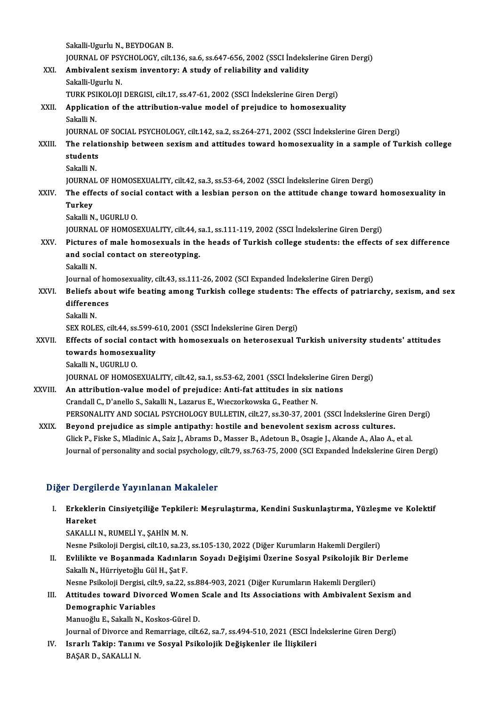|         | Sakalli-Ugurlu N., BEYDOGAN B.                                                                                   |
|---------|------------------------------------------------------------------------------------------------------------------|
|         | JOURNAL OF PSYCHOLOGY, cilt.136, sa.6, ss.647-656, 2002 (SSCI Indekslerine Giren Dergi)                          |
| XXI.    | Ambivalent sexism inventory: A study of reliability and validity                                                 |
|         | Sakalli-Ugurlu N.                                                                                                |
|         | TURK PSIKOLOJI DERGISI, cilt.17, ss.47-61, 2002 (SSCI İndekslerine Giren Dergi)                                  |
| XXII.   | Application of the attribution-value model of prejudice to homosexuality                                         |
|         | Sakalli N                                                                                                        |
|         | JOURNAL OF SOCIAL PSYCHOLOGY, cilt.142, sa.2, ss.264-271, 2002 (SSCI İndekslerine Giren Dergi)                   |
| XXIII.  | The relationship between sexism and attitudes toward homosexuality in a sample of Turkish college                |
|         | students                                                                                                         |
|         | Sakalli N                                                                                                        |
|         | JOURNAL OF HOMOSEXUALITY, cilt.42, sa.3, ss.53-64, 2002 (SSCI Indekslerine Giren Dergi)                          |
| XXIV.   | The effects of social contact with a lesbian person on the attitude change toward homosexuality in               |
|         | Turkey                                                                                                           |
|         | Sakalli N., UGURLU O.                                                                                            |
|         | JOURNAL OF HOMOSEXUALITY, cilt.44, sa.1, ss.111-119, 2002 (SSCI Indekslerine Giren Dergi)                        |
| XXV.    | Pictures of male homosexuals in the heads of Turkish college students: the effects of sex difference             |
|         | and social contact on stereotyping.                                                                              |
|         | Sakalli N.                                                                                                       |
|         | Journal of homosexuality, cilt.43, ss.111-26, 2002 (SCI Expanded İndekslerine Giren Dergi)                       |
| XXVI.   | Beliefs about wife beating among Turkish college students: The effects of patriarchy, sexism, and sex            |
|         | differences                                                                                                      |
|         | Sakalli N                                                                                                        |
|         | SEX ROLES, cilt 44, ss.599-610, 2001 (SSCI İndekslerine Giren Dergi)                                             |
| XXVII.  | Effects of social contact with homosexuals on heterosexual Turkish university students' attitudes                |
|         | towards homosexuality                                                                                            |
|         | Sakalli N., UGURLU O.                                                                                            |
|         | JOURNAL OF HOMOSEXUALITY, cilt.42, sa.1, ss.53-62, 2001 (SSCI Indekslerine Giren Dergi)                          |
| XXVIII. | An attribution-value model of prejudice: Anti-fat attitudes in six nations                                       |
|         | Crandall C., D'anello S., Sakalli N., Lazarus E., Wieczorkowska G., Feather N.                                   |
|         | PERSONALITY AND SOCIAL PSYCHOLOGY BULLETIN, cilt.27, ss.30-37, 2001 (SSCI İndekslerine Giren Dergi)              |
| XXIX.   | Beyond prejudice as simple antipathy: hostile and benevolent sexism across cultures.                             |
|         | Glick P., Fiske S., Mladinic A., Saiz J., Abrams D., Masser B., Adetoun B., Osagie J., Akande A., Alao A., et al |
|         | Iournal of norwonality and social novebology, sitt 70, eq.762.75, 2000 (CCI Evropeded indekalating Circu Devai)  |

Journal of personality and social psychology, cilt.79, ss.763-75, 2000 (SCI Expanded İndekslerine Giren Dergi)

## Diğer Dergilerde Yayınlanan Makaleler

iğer Dergilerde Yayınlanan Makaleler<br>I. Erkeklerin Cinsiyetçiliğe Tepkileri: Meşrulaştırma, Kendini Suskunlaştırma, Yüzleşme ve Kolektif<br>Hareket r Dorge<br>Erkekler<br>Hareket<br>SARALLI Erkeklerin Cinsiyetçiliğe Tepkile<br>Hareket<br>SAKALLI N., RUMELİ Y., ŞAHİN M. N.<br>Nesne Psikeleji Dergisi, silt 10, sa 22 Hareket<br>SAKALLI N., RUMELİ Y., ŞAHİN M. N.<br>Nesne Psikoloji Dergisi, cilt.10, sa.23, ss.105-130, 2022 (Diğer Kurumların Hakemli Dergileri)<br>Fylilikte ve Bosanmada Kadınların Sovadı Değisimi Üzerine Sosval Beikolojik Bir D

SAKALLI N., RUMELİ Y., ŞAHİN M. N.<br>Nesne Psikoloji Dergisi, cilt.10, sa.23, ss.105-130, 2022 (Diğer Kurumların Hakemli Dergileri)<br>II. Evlilikte ve Boşanmada Kadınların Soyadı Değişimi Üzerine Sosyal Psikolojik Bir Derleme<br> Nesne Psikoloji Dergisi, cilt.10, sa.23<br>**Evlilikte ve Boşanmada Kadınlar**<br>Sakallı N., Hürriyetoğlu Gül H., Şat F.<br>Nesne Psikoloji Dergisi, silt.9, se.22

Nesne Psikoloji Dergisi, cilt.9, sa.22, ss.884-903, 2021 (Diğer Kurumların Hakemli Dergileri)

# Sakallı N., Hürriyetoğlu Gül H., Şat F.<br>Nesne Psikoloji Dergisi, cilt.9, sa.22, ss.884-903, 2021 (Diğer Kurumların Hakemli Dergileri)<br>III. Attitudes toward Divorced Women Scale and Its Associations with Ambivalent Sexi Nesne Psikoloji Dergisi, cilt<br><mark>Attitudes toward Divor</mark><br>Demographic Variables<br>Manuožlu E. Sakall N. *Vo*e Attitudes toward Divorced Women<br>Demographic Variables<br>Manuoğlu E., Sakallı N., Koskos-Gürel D.<br>Journal of Divorce and Pemarriage, silt. De<mark>mographic Variables</mark><br>Manuoğlu E., Sakallı N., Koskos-Gürel D.<br>Journal of Divorce and Remarriage, cilt.62, sa.7, ss.494-510, 2021 (ESCI İndekslerine Giren Dergi)<br>Jonanlı Takinı Tanımı ve Sasyal Baikalajik Değislerler ile

Manuoğlu E., Sakallı N., Koskos-Gürel D.<br>Journal of Divorce and Remarriage, cilt.62, sa.7, ss.494-510, 2021 (ESCI İn<br>IV. Israrlı Takip: Tanımı ve Sosyal Psikolojik Değişkenler ile İlişkileri<br>BASAR D. SAKALLIN Journal of Divorce and<br>I<mark>srarlı Takip: Tanım</mark><br>BAŞAR D., SAKALLI N.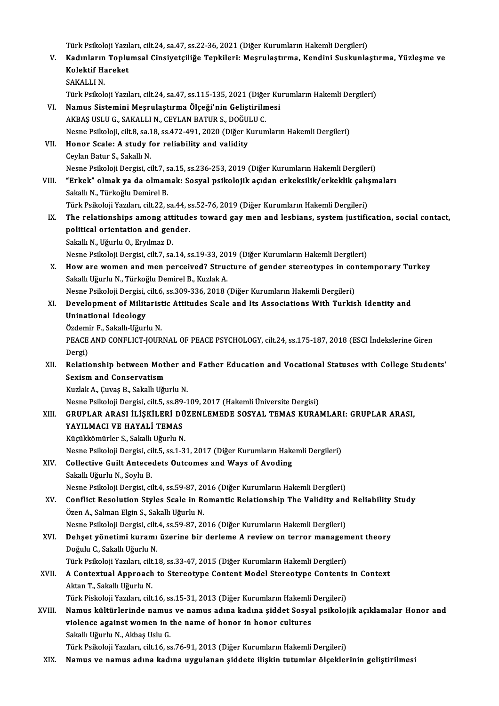- Türk Psikoloji Yazıları, cilt.24, sa.47, ss.22-36, 2021 (Diğer Kurumların Hakemli Dergileri) Türk Psikoloji Yazıları, cilt.24, sa.47, ss.22-36, 2021 (Diğer Kurumların Hakemli Dergileri)<br>V. Kadınların Toplumsal Cinsiyetçiliğe Tepkileri: Meşrulaştırma, Kendini Suskunlaştırma, Yüzleşme ve<br>Kelektif Haneket Türk Psikoloji Yazıl<br>Kadınların Toplu<br>Kolektif Hareket<br>SAKALLIN Kadınların<br>Kolektif Ha<br>SAKALLI N.<br>Türk Peikek Kolektif Hareket<br>SAKALLI N.<br>Türk Psikoloji Yazıları, cilt.24, sa.47, ss.115-135, 2021 (Diğer Kurumların Hakemli Dergileri) VI. Namus Sistemini Meşrulaştırma Ölçeği'nin Geliştirilmesi Türk Psikoloji Yazıları, cilt.24, sa.47, ss.115-135, 2021 (Diğe<br>**Namus Sistemini Meşrulaştırma Ölçeği'nin Geliştiriln**<br>AKBAŞ USLU G., SAKALLI N., CEYLAN BATUR S., DOĞULU C.<br>Nesne Psikoloji, silt 8, sa.18, ss.472,491, 2020 Nesne Psikoloji, cilt.8, sa.18, ss.472-491, 2020 (Diğer Kurumların Hakemli Dergileri) AKBAŞ USLU G., SAKALLI N., CEYLAN BATUR S., DOĞU!<br>Nesne Psikoloji, cilt8, sa.18, ss.472-491, 2020 (Diğer K<br>VII. Honor Scale: A study for reliability and validity VII. Honor Scale: A study for reliability and validity<br>Ceylan Batur S., Sakallı N. Nesne Psikoloji Dergisi, cilt.7, sa.15, ss.236-253, 2019 (Diğer Kurumların Hakemli Dergileri) VIII. "Erkek" olmak ya da olmamak: Sosyal psikolojik açıdan erkeksilik/erkeklik çalışmaları Sakallı N., Türkoğlu Demirel B. "Erkek" olmak ya da olmamak: Sosyal psikolojik açıdan erkeksilik/erkeklik çalı;<br>Sakallı N., Türkoğlu Demirel B.<br>Türk Psikoloji Yazıları, cilt.22, sa.44, ss.52-76, 2019 (Diğer Kurumların Hakemli Dergileri)<br>The relationshins Sakallı N., Türkoğlu Demirel B.<br>Türk Psikoloji Yazıları, cilt.22, sa.44, ss.52-76, 2019 (Diğer Kurumların Hakemli Dergileri)<br>IX. The relationships among attitudes toward gay men and lesbians, system justification, soci Türk Psikoloji Yazıları, cilt.22, sa.44, s<br>The relationships among attitude<br>political orientation and gender.<br>Sakallı N. Hävrly O. Ervlmag D. The relationships among att<br>political orientation and gen<br>Sakallı N., Uğurlu O., Eryılmaz D.<br>Neane Beikeleii Dengisi, silt 7, 20 political orientation and gender.<br>Sakallı N., Uğurlu O., Eryılmaz D.<br>Nesne Psikoloji Dergisi, cilt.7, sa.14, ss.19-33, 2019 (Diğer Kurumların Hakemli Dergileri) Sakallı N., Uğurlu O., Eryılmaz D.<br>Nesne Psikoloji Dergisi, cilt.7, sa.14, ss.19-33, 2019 (Diğer Kurumların Hakemli Dergileri)<br>X. How are women and men perceived? Structure of gender stereotypes in contemporary Turkey<br>Saka Nesne Psikoloji Dergisi, cilt.7, sa.14, ss.19-33, 20<br>How are women and men perceived? Struc<br>Sakallı Uğurlu N., Türkoğlu Demirel B., Kuzlak A.<br>Nesne Psikoloji Demiri, silt.6, ss.200, 226, 2018 ( How are women and men perceived? Structure of gender stereotypes in col<br>Sakallı Uğurlu N., Türkoğlu Demirel B., Kuzlak A.<br>Nesne Psikoloji Dergisi, cilt.6, ss.309-336, 2018 (Diğer Kurumların Hakemli Dergileri)<br>Development o Sakallı Uğurlu N., Türkoğlu Demirel B., Kuzlak A.<br>Nesne Psikoloji Dergisi, cilt.6, ss.309-336, 2018 (Diğer Kurumların Hakemli Dergileri)<br>XI. Development of Militaristic Attitudes Scale and Its Associations With Turkish Uninational Ideology Development of Militarist<br>Uninational Ideology<br>Özdemir F., Sakallı-Uğurlu N.<br>PEACE AND CONELICT IOUP PEACE AND CONFLICT-JOURNAL OF PEACE PSYCHOLOGY, cilt.24, ss.175-187, 2018 (ESCI İndekslerine Giren<br>Dergi) Özdemi<br>PEACE<br>Dergi)<br>Pelatic
- PEACE AND CONFLICT-JOURNAL OF PEACE PSYCHOLOGY, cilt.24, ss.175-187, 2018 (ESCI İndekslerine Giren<br>Dergi)<br>XII. Relationship between Mother and Father Education and Vocational Statuses with College Students'<br>Soviem and Conc Dergi)<br>Relationship between Motl<br>Sexism and Conservatism<br>Kurlak A. Guros B. Sakallı Uğu Relationship between Mother ar<br>Sexism and Conservatism<br>Kuzlak A., Çuvaş B., Sakallı Uğurlu N.<br>Nesne Psikaleji Dergisi, silt 5, se 80, 1 Sexism and Conservatism<br>Kuzlak A., Çuvaş B., Sakallı Uğurlu N.<br>Nesne Psikoloji Dergisi, cilt.5, ss.89-109, 2017 (Hakemli Üniversite Dergisi)

#### XIII. GRUPLAR ARASI İLİŞKİLERİ DÜZENLEMEDE SOSYAL TEMAS KURAMLARI: GRUPLAR ARASI,

Nesne Psikoloji Dergisi, cilt.5, ss.89<br>GRUPLAR ARASI İLİŞKİLERİ DÜ<br>YAYILMACI VE HAYALİ TEMAS<br>Kücültömürler S. Selelli Hğurlu N GRUPLAR ARASI İLİŞKİLERİ DÜ<br>YAYILMACI VE HAYALİ TEMAS<br>Küçükkömürler S., Sakallı Uğurlu N.<br>Neane Baikalaji Dergisi silt 5.001.2 Küçükkömürler S., Sakallı Uğurlu N.<br>Nesne Psikoloji Dergisi, cilt.5, ss.1-31, 2017 (Diğer Kurumların Hakemli Dergileri) Küçükkömürler S., Sakallı Uğurlu N.<br>Nesne Psikoloji Dergisi, cilt.5, ss.1-31, 2017 (Diğer Kurumların Hake<br>XIV. Collective Guilt Antecedets Outcomes and Ways of Avoding<br>Sakallı Uğurlu N. Saylu P. Nesne Psikoloji Dergisi, ci<br>Collective Guilt Antece<br>Sakallı Uğurlu N., Soylu B.<br>Nesne Psikoloji Dergisi, si Sakallı Uğurlu N., Soylu B.<br>Nesne Psikoloji Dergisi, cilt.4, ss.59-87, 2016 (Diğer Kurumların Hakemli Dergileri)

- Sakallı Uğurlu N., Soylu B.<br>Nesne Psikoloji Dergisi, cilt.4, ss.59-87, 2016 (Diğer Kurumların Hakemli Dergileri)<br>XV. Conflict Resolution Styles Scale in Romantic Relationship The Validity and Reliability Study<br>Özen A. Nesne Psikoloji Dergisi, cilt.4, ss.59-87, 20<br>**Conflict Resolution Styles Scale in Re**<br>Özen A., Salman Elgin S., Sakallı Uğurlu N.<br>Nesne Psikoloji Dergisi, silt.4, ss.59, 97, 20 Conflict Resolution Styles Scale in Romantic Relationship The Validity and<br>Özen A., Salman Elgin S., Sakallı Uğurlu N.<br>Nesne Psikoloji Dergisi, cilt.4, ss.59-87, 2016 (Diğer Kurumların Hakemli Dergileri)<br>Debest vönetimi ku Özen A., Salman Elgin S., Sakallı Uğurlu N.<br>Nesne Psikoloji Dergisi, cilt.4, ss.59-87, 2016 (Diğer Kurumların Hakemli Dergileri)<br>XVI. Dehşet yönetimi kuramı üzerine bir derleme A review on terror management theory<br>Değulu G
- Nesne Psikoloji Dergisi, cilt.<br><mark>Dehşet yönetimi kuramı</mark><br>Doğulu C., Sakallı Uğurlu N.<br>Türk Beikoloji Yemlanı, cilt 1 Dehşet yönetimi kuramı üzerine bir derleme A review on terror managem<br>Doğulu C., Sakallı Uğurlu N.<br>Türk Psikoloji Yazıları, cilt.18, ss.33-47, 2015 (Diğer Kurumların Hakemli Dergileri)<br>A Contextual Annreach te Stereoture C Doğulu C., Sakallı Uğurlu N.<br>Türk Psikoloji Yazıları, cilt.18, ss.33-47, 2015 (Diğer Kurumların Hakemli Dergileri)<br>XVII. A Contextual Approach to Stereotype Content Model Stereotype Contents in Context<br>Aktar T. Sakallı

# Türk Psikoloji Yazıları, cilt.18, ss.33-47, 2015 (Diğer Kurumların Hakemli Dergileri)<br>A Contextual Approach to Stereotype Content Model Stereotype Contents<br>Aktan T., Sakallı Uğurlu N. A Contextual Approach to Stereotype Content Model Stereotype Contents<br>Aktan T., Sakallı Uğurlu N.<br>Türk Piskoloji Yazıları, cilt.16, ss.15-31, 2013 (Diğer Kurumların Hakemli Dergileri)<br>Namua kültürlerinde namua ve namua adı

XVIII. Namus kültürlerinde namus ve namus adına kadına şiddet Sosyal psikolojik açıklamalar Honor and Türk Piskoloji Yazıları, cilt.16, ss.15-31, 2013 (Diğer Kurumların Hakemli Dergileri)<br>Namus kültürlerinde namus ve namus adına kadına şiddet Sosyal psikolo<br>violence against women in the name of honor in honor cultures<br>Saka violence against women in the name of honor in honor cultures

Türk Psikoloji Yazıları, cilt.16, ss.76-91, 2013 (Diğer Kurumların Hakemli Dergileri)

XIX. Namus ve namus adına kadına uygulanan şiddete ilişkin tutumlar ölçeklerinin geliştirilmesi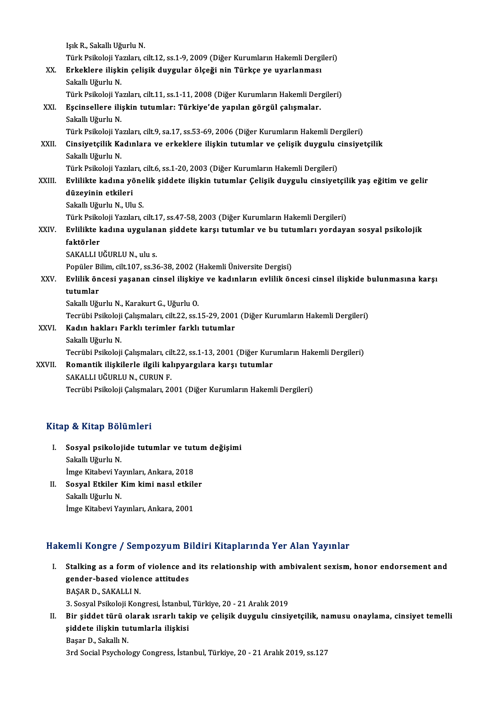|        | Işık R., Sakallı Uğurlu N.                                                                            |
|--------|-------------------------------------------------------------------------------------------------------|
|        | Türk Psikoloji Yazıları, cilt.12, ss.1-9, 2009 (Diğer Kurumların Hakemli Dergileri)                   |
| XX.    | Erkeklere ilişkin çelişik duygular ölçeği nin Türkçe ye uyarlanması                                   |
|        | Sakallı Uğurlu N.                                                                                     |
|        | Türk Psikoloji Yazıları, cilt.11, ss.1-11, 2008 (Diğer Kurumların Hakemli Dergileri)                  |
| XXI.   | Eşcinsellere ilişkin tutumlar: Türkiye'de yapılan görgül çalışmalar.                                  |
|        | Sakallı Uğurlu N.                                                                                     |
|        | Türk Psikoloji Yazıları, cilt.9, sa.17, ss.53-69, 2006 (Diğer Kurumların Hakemli Dergileri)           |
| XXII.  | Cinsiyetçilik Kadınlara ve erkeklere ilişkin tutumlar ve çelişik duygulu cinsiyetçilik                |
|        | Sakallı Uğurlu N.                                                                                     |
|        | Türk Psikoloji Yazıları, cilt.6, ss.1-20, 2003 (Diğer Kurumların Hakemli Dergileri)                   |
| XXIII. | Evlilikte kadına yönelik şiddete ilişkin tutumlar Çelişik duygulu cinsiyetçilik yaş eğitim ve gelir   |
|        | düzeyinin etkileri                                                                                    |
|        | Sakallı Uğurlu N., Ulu S.                                                                             |
|        | Türk Psikoloji Yazıları, cilt.17, ss.47-58, 2003 (Diğer Kurumların Hakemli Dergileri)                 |
| XXIV.  | Evlilikte kadına uygulanan şiddete karşı tutumlar ve bu tutumları yordayan sosyal psikolojik          |
|        | faktörler                                                                                             |
|        | SAKALLI UĞURLU N., ulu s.                                                                             |
|        | Popüler Bilim, cilt.107, ss.36-38, 2002 (Hakemli Üniversite Dergisi)                                  |
| XXV.   | Evlilik öncesi yaşanan cinsel ilişkiye ve kadınların evlilik öncesi cinsel ilişkide bulunmasına karşı |
|        | tutumlar                                                                                              |
|        | Sakallı Uğurlu N., Karakurt G., Uğurlu O.                                                             |
|        | Tecrübi Psikoloji Çalışmaları, cilt.22, ss.15-29, 2001 (Diğer Kurumların Hakemli Dergileri)           |
| XXVI.  | Kadın hakları Farklı terimler farklı tutumlar                                                         |
|        | Sakallı Uğurlu N.                                                                                     |
|        | Tecrübi Psikoloji Çalışmaları, cilt.22, ss.1-13, 2001 (Diğer Kurumların Hakemli Dergileri)            |
| XXVII. | Romantik ilişkilerle ilgili kalıpyargılara karşı tutumlar                                             |
|        | SAKALLI UĞURLU N., CURUN F.                                                                           |
|        | Tecrübi Psikoloji Çalışmaları, 2001 (Diğer Kurumların Hakemli Dergileri)                              |

#### Kitap & Kitap Bölümleri

- itap & Kitap Bölümleri<br>I. Sosyal psikolojide tutumlar ve tutum değişimi<br>Sokallı Uğurlu N s ox maap Bor<br>Sosyal psikoloj<br>Sakallı Uğurlu N.<br>İmaa Kitabayi Ya Sosyal psikolojide tutumlar ve tut<br>Sakallı Uğurlu N.<br>İmge Kitabevi Yayınları, Ankara, 2018<br>Sosyal Etkiler Kim kimi nasıl etkile Sakallı Uğurlu N.<br>İmge Kitabevi Yayınları, Ankara, 2018<br>II. Sosyal Etkiler Kim kimi nasıl etkiler<br>Sakallı Uğurlu N.
- İmge Kitabevi Ya<br>Sosyal Etkiler 1<br>Sakallı Uğurlu N.<br>İmge Kitabevi Ya İmge Kitabevi Yayınları, Ankara, 2001

## Hakemli Kongre / Sempozyum Bildiri Kitaplarında Yer Alan Yayınlar

- akemli Kongre / Sempozyum Bildiri Kitaplarında Yer Alan Yayınlar<br>I. Stalking as a form of violence and its relationship with ambivalent sexism, honor endorsement and<br>conder besed violence attitudes stalking as a form of violence an<br>gender-based violence attitudes<br>BASAR D. SAYALLIN gender-based violence attitudes<br>BAŞAR D., SAKALLI N. 3. Sosyal Psikoloji Kongresi, İstanbul, Türkiye, 20 - 21 Aralık 2019
- II. Bir şiddet türü olarak ısrarlı takip ve çelişik duygulu cinsiyetçilik, namusu onaylama, cinsiyet temelli 3. Sosyal Psikoloji Kongresi, İstanbul,<br>Bir şiddet türü olarak ısrarlı tak<br>şiddete ilişkin tutumlarla ilişkisi<br>Basar D. Sakallı N Bir şiddet türü o<br>şiddete ilişkin tu<br>Başar D., Sakallı N.<br><sup>2rd Social Beycholo</sup> Başar D., Sakallı N.<br>3rd Social Psychology Congress, İstanbul, Türkiye, 20 - 21 Aralık 2019, ss.127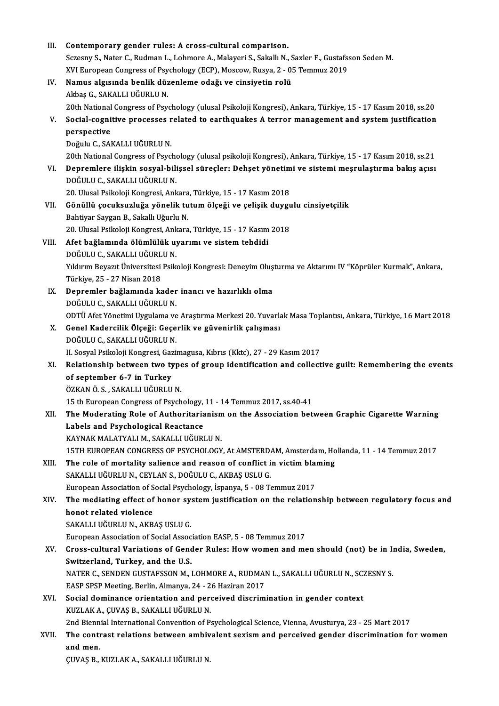| Ш.    | Contemporary gender rules: A cross-cultural comparison.                                                       |
|-------|---------------------------------------------------------------------------------------------------------------|
|       | Sczesny S., Nater C., Rudman L., Lohmore A., Malayeri S., Sakallı N., Saxler F., Gustafsson Seden M.          |
|       | XVI European Congress of Psychology (ECP), Moscow, Rusya, 2 - 05 Temmuz 2019                                  |
| IV.   | Namus algısında benlik düzenleme odağı ve cinsiyetin rolü                                                     |
|       | Akbaş G., SAKALLI UĞURLU N.                                                                                   |
|       | 20th National Congress of Psychology (ulusal Psikoloji Kongresi), Ankara, Türkiye, 15 - 17 Kasım 2018, ss.20  |
| V.    | Social-cognitive processes related to earthquakes A terror management and system justification                |
|       | perspective                                                                                                   |
|       | Doğulu C., SAKALLI UĞURLU N.                                                                                  |
|       | 20th National Congress of Psychology (ulusal psikoloji Kongresi), Ankara, Türkiye, 15 - 17 Kasım 2018, ss.21  |
| VI.   | Depremlere ilişkin sosyal-bilişsel süreçler: Dehşet yönetimi ve sistemi meşrulaştırma bakış açısı             |
|       | DOĞULU C., SAKALLI UĞURLU N.                                                                                  |
|       | 20. Ulusal Psikoloji Kongresi, Ankara, Türkiye, 15 - 17 Kasım 2018                                            |
| VII.  | Gönüllü çocuksuzluğa yönelik tutum ölçeği ve çelişik duygulu cinsiyetçilik                                    |
|       | Bahtiyar Saygan B., Sakallı Uğurlu N.                                                                         |
|       | 20. Ulusal Psikoloji Kongresi, Ankara, Türkiye, 15 - 17 Kasım 2018                                            |
| VIII. | Afet bağlamında ölümlülük uyarımı ve sistem tehdidi                                                           |
|       | DOĞULU C., SAKALLI UĞURLU N.                                                                                  |
|       | Yıldırım Beyazıt Üniversitesi Psikoloji Kongresi: Deneyim Oluşturma ve Aktarımı IV "Köprüler Kurmak", Ankara, |
|       | Türkiye, 25 - 27 Nisan 2018                                                                                   |
| IX.   | Depremler bağlamında kader inancı ve hazırlıklı olma                                                          |
|       | DOĞULU C., SAKALLI UĞURLU N.                                                                                  |
|       | ODTÜ Afet Yönetimi Uygulama ve Araştırma Merkezi 20. Yuvarlak Masa Toplantısı, Ankara, Türkiye, 16 Mart 2018  |
| X.    | Genel Kadercilik Ölçeği: Geçerlik ve güvenirlik çalışması                                                     |
|       | DOĞULU C., SAKALLI UĞURLU N.                                                                                  |
|       | II. Sosyal Psikoloji Kongresi, Gazimagusa, Kıbrıs (Kktc), 27 - 29 Kasım 2017                                  |
| XI.   | Relationship between two types of group identification and collective guilt: Remembering the events           |
|       | of september 6-7 in Turkey                                                                                    |
|       | ÖZKAN Ö. S. . SAKALLI UĞURLU N.                                                                               |
|       | 15 th European Congress of Psychology, 11 - 14 Temmuz 2017, ss.40-41                                          |
| XII.  | The Moderating Role of Authoritarianism on the Association between Graphic Cigarette Warning                  |
|       | Labels and Psychological Reactance                                                                            |
|       | KAYNAK MALATYALI M., SAKALLI UĞURLU N.                                                                        |
|       | 15TH EUROPEAN CONGRESS OF PSYCHOLOGY, At AMSTERDAM, Amsterdam, Hollanda, 11 - 14 Temmuz 2017                  |
| XIII. | The role of mortality salience and reason of conflict in victim blaming                                       |
|       | SAKALLI UĞURLU N., CEYLAN S., DOĞULU C., AKBAŞ USLU G.                                                        |
|       | European Association of Social Psychology, İspanya, 5 - 08 Temmuz 2017                                        |
| XIV.  | The mediating effect of honor system justification on the relationship between regulatory focus and           |
|       | honot related violence                                                                                        |
|       | SAKALLI UĞURLU N., AKBAŞ USLU G.                                                                              |
|       | European Association of Social Association EASP, 5 - 08 Temmuz 2017                                           |
| XV.   | Cross-cultural Variations of Gender Rules: How women and men should (not) be in India, Sweden,                |
|       | Switzerland, Turkey, and the U.S.                                                                             |
|       | NATER C., SENDEN GUSTAFSSON M., LOHMORE A., RUDMAN L., SAKALLI UĞURLU N., SCZESNY S.                          |
|       | EASP SPSP Meeting, Berlin, Almanya, 24 - 26 Haziran 2017                                                      |
| XVI.  | Social dominance orientation and perceived discrimination in gender context                                   |
|       | KUZLAK A., ÇUVAŞ B., SAKALLI UĞURLU N.                                                                        |
|       | 2nd Biennial International Convention of Psychological Science, Vienna, Avusturya, 23 - 25 Mart 2017          |
| XVII. | The contrast relations between ambivalent sexism and perceived gender discrimination for women                |
|       | and men.                                                                                                      |
|       | ÇUVAŞ B., KUZLAK A., SAKALLI UĞURLU N.                                                                        |
|       |                                                                                                               |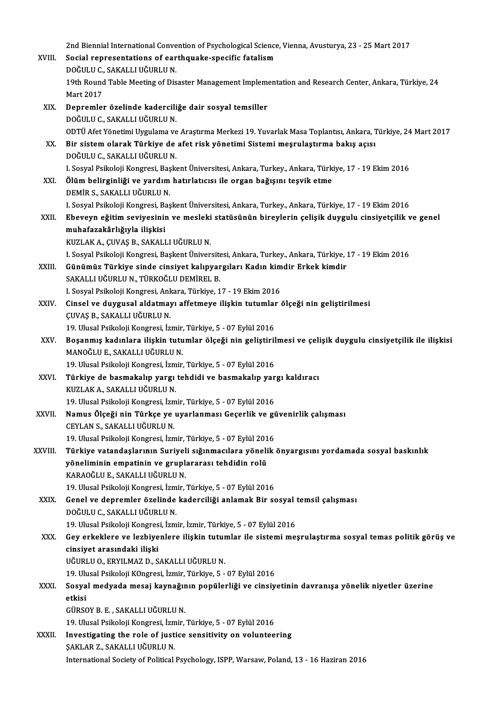2nd Biennial International Convention of Psychological Science, Vienna, Avusturya, 23 - 25 Mart 2017<br>Segial representations of carthauske specific fatelism 2nd Biennial International Convention of Psychological Science<br>XVIII. Social representations of earthquake-specific fatalism 2nd Biennial International Conve<br>Social representations of ear<br>DOĞULU C., SAKALLI UĞURLU N.<br>10th Bound Table Meeting of Die Social representations of earthquake-specific fatalism<br>DOĞULU C., SAKALLI UĞURLU N.<br>19th Round Table Meeting of Disaster Management Implementation and Research Center, Ankara, Türkiye, 24<br>Mart 2017 DOĞULU C., SAKALLI UĞURLU N. XIX. Depremler özelinde kaderciliğe dair sosyal temsiller DOĞULU C., SAKALLI UĞURLU N. ODTÜAfetYönetimiUygulama veAraştırmaMerkezi19.YuvarlakMasaToplantısı,Ankara,Türkiye,24Mart2017 DOĞULU C., SAKALLI UĞURLU N.<br>ODTÜ Afet Yönetimi Uygulama ve Araştırma Merkezi 19. Yuvarlak Masa Toplantısı, Ankara, 1<br>XX. Bir sistem olarak Türkiye de afet risk yönetimi Sistemi meşrulaştırma bakış açısı<br>DOĞULU C. SAKA ODTÜ Afet Yönetimi Uygulama ve<br>Bir sistem olarak Türkiye de<br>DOĞULU C., SAKALLI UĞURLU N.<br>L Sosval Beikoleji Kongresi, Besk Bir sistem olarak Türkiye de afet risk yönetimi Sistemi meşrulaştırma bakış açısı<br>DOĞULU C., SAKALLI UĞURLU N.<br>I. Sosyal Psikoloji Kongresi, Başkent Üniversitesi, Ankara, Turkey., Ankara, Türkiye, 17 - 19 Ekim 2016<br>Ölüm be DOĞULU C., SAKALLI UĞURLU N.<br>I. Sosyal Psikoloji Kongresi, Başkent Üniversitesi, Ankara, Turkey., Ankara, Türk<br>XXI. Ölüm belirginliği ve yardım hatırlatıcısı ile organ bağışını teşvik etme<br>DEMİR S. SAKALLI UĞURLU N I. Sosyal Psikoloji Kongresi, Baş<br><mark>Ölüm belirginliği ve yardım</mark><br>DEMİR S., SAKALLI UĞURLU N.<br>L Sosyal Beikoloji Kongresi, Baş Ölüm belirginliği ve yardım hatırlatıcısı ile organ bağışını teşvik etme<br>DEMİR S., SAKALLI UĞURLU N.<br>I. Sosyal Psikoloji Kongresi, Başkent Üniversitesi, Ankara, Turkey., Ankara, Türkiye, 17 - 19 Ekim 2016<br>Eheveyn eğitim se DEMİR S., SAKALLI UĞURLU N.<br>1. Sosyal Psikoloji Kongresi, Başkent Üniversitesi, Ankara, Turkey., Ankara, Türkiye, 17 - 19 Ekim 2016<br>XXII. Ebeveyn eğitim seviyesinin ve mesleki statüsünün bireylerin çelişik duygulu cins I. Sosyal Psikoloji Kongresi, Ba<br><mark>Ebeveyn eğitim seviyesinii</mark><br>muhafazakârlığıyla ilişkisi<br>KUZLAK A GUVAS B. SAKALI Ebeveyn eğitim seviyesinin ve mesleki<br>muhafazakârlığıyla ilişkisi<br>KUZLAK A., ÇUVAŞ B., SAKALLI UĞURLU N.<br>L Sesval Peikalaji Kangresi, Baskant Üniyer **muhafazakârlığıyla ilişkisi**<br>KUZLAK A., ÇUVAŞ B., SAKALLI UĞURLU N.<br>I. Sosyal Psikoloji Kongresi, Baskent Üniversitesi, Ankara, Turkey., Ankara, Türkiye, 17 - 19 Ekim 2016 KUZLAK A., ÇUVAŞ B., SAKALLI UĞURLU N.<br>1. Sosyal Psikoloji Kongresi, Başkent Üniversitesi, Ankara, Turkey., Ankara, Türkiye, 2<br>XXIII. Günümüz Türkiye sinde cinsiyet kalıpyargıları Kadın kimdir Erkek kimdir<br>5 AKALLUĞUPL

SAKALLI UĞURLU N., TÜRKOĞLU DEMİREL B. Günümüz Türkiye sinde cinsiyet kalıpyargıları Kadın kim<br>SAKALLI UĞURLU N., TÜRKOĞLU DEMİREL B.<br>I. Sosyal Psikoloji Kongresi, Ankara, Türkiye, 17 - 19 Ekim 2016<br>Cinsel ve duvaysal aldatmayı affetmeye ilişkin tutumlar é I. Sosyal Psikoloji Kongresi, Ankara, Türkiye, 17 - 19 Ekim 2016

XXIV. Cinsel ve duygusal aldatmayı affetmeye ilişkin tutumlar ölçeği nin geliştirilmesi Cinsel ve duygusal aldatmayı affetmeye ilişkin tutumlar<br>ÇUVAŞ B., SAKALLI UĞURLU N.<br>19. Ulusal Psikoloji Kongresi, İzmir, Türkiye, 5 - 07 Eylül 2016<br>Bosanmıç kadınlara ilişkin tutumlar ölçeği nin seliştiril

ÇUVAŞ B., SAKALLI UĞURLU N.<br>19. Ulusal Psikoloji Kongresi, İzmir, Türkiye, 5 - 07 Eylül 2016<br>XXV. Boşanmış kadınlara ilişkin tutumlar ölçeği nin geliştirilmesi ve çelişik duygulu cinsiyetçilik ile ilişkisi<br>MANOĞLU E. S 19. Ulusal Psikoloji Kongresi, İzmir,<br>Boşanmış kadınlara ilişkin tutu<br>MANOĞLU E., SAKALLI UĞURLU N.<br>19. Ulusal Beikoloji Kongresi, İzmir Boşanmış kadınlara ilişkin tutumlar ölçeği nin geliştiril<br>MANOĞLU E., SAKALLI UĞURLU N.<br>19. Ulusal Psikoloji Kongresi, İzmir, Türkiye, 5 - 07 Eylül 2016<br>Türkiye de besmakalın yargı tehdidi ve besmakalın yar

MANOĞLU E., SAKALLI UĞURLU N.<br>19. Ulusal Psikoloji Kongresi, İzmir, Türkiye, 5 - 07 Eylül 2016<br>XXVI. Türkiye de basmakalıp yargı tehdidi ve basmakalıp yargı kaldıracı<br>KUZLAKA SAKALLUĞURLU N 19. Ulusal Psikoloji Kongresi, İzmir, Türkiye, 5 - 07 Eylül 2016<br>**Türkiye de basmakalıp yargı tehdidi ve basmakalıp yar**<br>KUZLAK A., SAKALLI UĞURLU N.<br>19. Ulusal Psikoloji Kongresi, İzmir, Türkiye, 5 - 07 Eylül 2016 Türkiye de basmakalıp yargı tehdidi ve basmakalıp yar<br>KUZLAK A., SAKALLI UĞURLU N.<br>19. Ulusal Psikoloji Kongresi, İzmir, Türkiye, 5 - 07 Eylül 2016<br>Namus Ölesği nin Türkse ve uyarlanması Casarlik ve gi

XXVII. Namus Ölçeği nin Türkçe ye uyarlanması Geçerlik ve güvenirlik çalışması CEYLAN S., SAKALLI UĞURLU N.

19.UlusalPsikolojiKongresi, İzmir,Türkiye,5 -07Eylül2016

CEYLAN S., SAKALLI UĞURLU N.<br>19. Ulusal Psikoloji Kongresi, İzmir, Türkiye, 5 - 07 Eylül 2016<br>XXVIII. Türkiye vatandaşlarının Suriyeli sığınmacılara yönelik önyargısını yordamada sosyal baskınlık<br>xöneliminin emnetinin 19. Ulusal Psikoloji Kongresi, İzmir, Türkiye, 5 - 07 Eylül 201<br>Türkiye vatandaşlarının Suriyeli sığınmacılara yöneli<br>yöneliminin empatinin ve gruplararası tehdidin rolü<br>KARAQĞULE, SAKALLUĞUPLU N Türkiye vatandaşlarının Suriyel<br>yöneliminin empatinin ve grupl:<br>KARAOĞLU E., SAKALLI UĞURLU N.<br>10 Ulucel Psikalaji Kongresi İsmin 19. **yöneliminin empatinin ve gruplararası tehdidin rolü**<br>19. Ulusal Psikoloji Kongresi, İzmir, Türkiye, 5 - 07 Eylül 2016 KARAOĞLU E., SAKALLI UĞURLU N.<br>19. Ulusal Psikoloji Kongresi, İzmir, Türkiye, 5 - 07 Eylül 2016<br>XXIX. Genel ve depremler özelinde kaderciliği anlamak Bir sosyal temsil çalışması<br>DOĞULU G. SAKALLI UĞUPLU N

19. Ulusal Psikoloji Kongresi, İzm<br>Genel ve depremler özelinde<br>DOĞULU C., SAKALLI UĞURLU N.<br>19. Ulusal Bsikoloji Kongresi, İzm 6enel ve depremler özelinde kaderciliği anlamak Bir sosyal<br>DOĞULU C., SAKALLI UĞURLU N.<br>19. Ulusal Psikoloji Kongresi, İzmir, İzmir, Türkiye, 5 - 07 Eylül 2016<br>Cev erkeklere ve lerbiyenlere ilişkin tutumlar ile sistemi me

DOĞULU C., SAKALLI UĞURLU N.<br>19. Ulusal Psikoloji Kongresi, İzmir, İzmir, Türkiye, 5 - 07 Eylül 2016<br>XXX. Gey erkeklere ve lezbiyenlere ilişkin tutumlar ile sistemi meşrulaştırma sosyal temas politik görüş ve<br>ainsiyet 19. Ulusal Psikoloji Kongres<br>Gey erkeklere ve lezbiye<br>cinsiyet arasındaki ilişki<br>Uğupu v.o. EPVU MAZ D. S Gey erkeklere ve lezbiyenlere ilişkin tutur<br>cinsiyet arasındaki ilişki<br>UĞURLU O., ERYILMAZ D., SAKALLI UĞURLU N.<br>19 Ulycel Belkeleji KOngresi İsmir Türkiye 5 cinsiyet arasındaki ilişki<br>UĞURLU O., ERYILMAZ D., SAKALLI UĞURLU N.<br>19. Ulusal Psikoloji KOngresi, İzmir, Türkiye, 5 - 07 Eylül 2016<br>Sesual maduada masai kaynağının nanülarliği ve sinsiy

UĞURLU O., ERYILMAZ D., SAKALLI UĞURLU N.<br>19. Ulusal Psikoloji KOngresi, İzmir, Türkiye, 5 - 07 Eylül 2016<br>XXXI. Sosyal medyada mesaj kaynağının popülerliği ve cinsiyetinin davranışa yönelik niyetler üzerine<br>etkisi 19. Ul<mark>t</mark><br>Sosya<br>etkisi<br>Cüpsc etkisi<br>GÜRSOY B. E. , SAKALLI UĞURLU N.<br>19. Ulusal Psikoloji Kongresi, İzmir, Türkiye, 5 - 07 Eylül 2016<br>Investisating the nale of iustise sensitivity on voluntee

GÜRSOY B. E., SAKALLI UĞURLUN.

XXXII. Investigating the role of justice sensitivity on volunteering<br>SAKLAR Z., SAKALLI UĞURLU N. 19. Ulusal Psikoloji Kongresi, İzm<br>Investigating the role of just<br>ŞAKLAR Z., SAKALLI UĞURLU N.<br>International Society of Political International Society of Political Psychology, ISPP, Warsaw, Poland, 13 - 16 Haziran 2016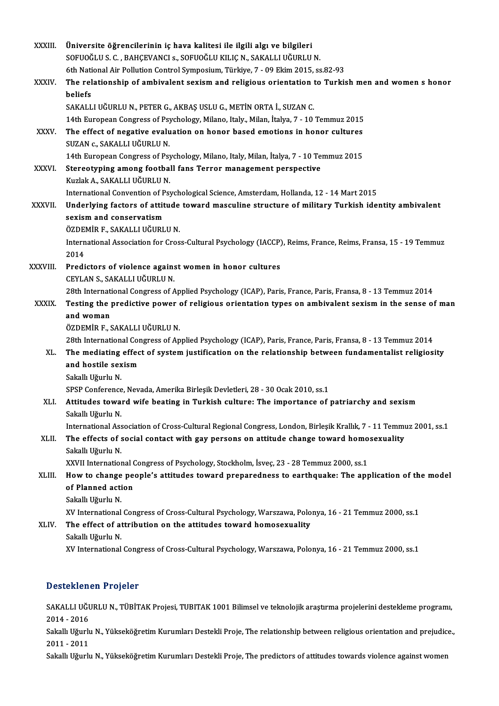| <b>XXXIII</b> | Üniversite öğrencilerinin iç hava kalitesi ile ilgili algı ve bilgileri                                                                                                    |
|---------------|----------------------------------------------------------------------------------------------------------------------------------------------------------------------------|
|               | SOFUOĞLU S. C., BAHÇEVANCI s., SOFUOĞLU KILIÇ N., SAKALLI UĞURLU N.                                                                                                        |
|               | 6th National Air Pollution Control Symposium, Türkiye, 7 - 09 Ekim 2015, ss 82-93                                                                                          |
| <b>XXXIV</b>  | The relationship of ambivalent sexism and religious orientation to Turkish men and women s honor                                                                           |
|               | beliefs                                                                                                                                                                    |
|               | SAKALLI UĞURLU N., PETER G., AKBAŞ USLU G., METİN ORTA İ., SUZAN C.                                                                                                        |
|               | 14th European Congress of Psychology, Milano, Italy., Milan, İtalya, 7 - 10 Temmuz 2015                                                                                    |
| XXXV.         | The effect of negative evaluation on honor based emotions in honor cultures                                                                                                |
|               | SUZAN c., SAKALLI UĞURLU N.                                                                                                                                                |
| <b>XXXVI</b>  | 14th European Congress of Psychology, Milano, Italy, Milan, İtalya, 7 - 10 Temmuz 2015<br>Stereotyping among football fans Terror management perspective                   |
|               | Kuzlak A., SAKALLI UĞURLU N.                                                                                                                                               |
|               | International Convention of Psychological Science, Amsterdam, Hollanda, 12 - 14 Mart 2015                                                                                  |
| XXXVII.       | Underlying factors of attitude toward masculine structure of military Turkish identity ambivalent                                                                          |
|               | sexism and conservatism                                                                                                                                                    |
|               | ÖZDEMİR F., SAKALLI UĞURLU N.                                                                                                                                              |
|               | International Association for Cross-Cultural Psychology (IACCP), Reims, France, Reims, Fransa, 15 - 19 Temmuz                                                              |
|               | 2014                                                                                                                                                                       |
| XXXVIII.      | Predictors of violence against women in honor cultures                                                                                                                     |
|               | CEYLAN S., SAKALLI UĞURLU N.                                                                                                                                               |
|               | 28th International Congress of Applied Psychology (ICAP), Paris, France, Paris, Fransa, 8 - 13 Temmuz 2014                                                                 |
| <b>XXXIX</b>  | Testing the predictive power of religious orientation types on ambivalent sexism in the sense of man                                                                       |
|               | and woman                                                                                                                                                                  |
|               | ÖZDEMİR F., SAKALLI UĞURLU N.                                                                                                                                              |
|               | 28th International Congress of Applied Psychology (ICAP), Paris, France, Paris, Fransa, 8 - 13 Temmuz 2014                                                                 |
| XL.           | The mediating effect of system justification on the relationship between fundamentalist religiosity                                                                        |
|               | and hostile sexism                                                                                                                                                         |
|               | Sakallı Uğurlu N.                                                                                                                                                          |
|               | SPSP Conference, Nevada, Amerika Birleşik Devletleri, 28 - 30 Ocak 2010, ss.1<br>Attitudes toward wife beating in Turkish culture: The importance of patriarchy and sexism |
| XLI.          | Sakallı Uğurlu N.                                                                                                                                                          |
|               | International Association of Cross-Cultural Regional Congress, London, Birleşik Krallık, 7 - 11 Temmuz 2001, ss.1                                                          |
| XLII.         | The effects of social contact with gay persons on attitude change toward homosexuality                                                                                     |
|               | Sakallı Uğurlu N.                                                                                                                                                          |
|               | XXVII International Congress of Psychology, Stockholm, İsveç, 23 - 28 Temmuz 2000, ss.1                                                                                    |
| XLIII.        | How to change people's attitudes toward preparedness to earthquake: The application of the model                                                                           |
|               | of Planned action                                                                                                                                                          |
|               | Sakallı Uğurlu N.                                                                                                                                                          |
|               | XV International Congress of Cross-Cultural Psychology, Warszawa, Polonya, 16 - 21 Temmuz 2000, ss.1                                                                       |
| XLIV.         | The effect of attribution on the attitudes toward homosexuality                                                                                                            |
|               | Sakallı Uğurlu N.                                                                                                                                                          |
|               | XV International Congress of Cross-Cultural Psychology, Warszawa, Polonya, 16 - 21 Temmuz 2000, ss.1                                                                       |
|               |                                                                                                                                                                            |

## Desteklenen Projeler

Desteklenen Projeler<br>SAKALLI UĞURLU N., TÜBİTAK Projesi, TUBITAK 1001 Bilimsel ve teknolojik araştırma projelerini destekleme programı,<br>2014 - 2016 2010<br>1041 -2016<br>2014 - 2016<br>1051 - Užurl SAKALLI UĞURLU N., TÜBİTAK Projesi, TUBITAK 1001 Bilimsel ve teknolojik araştırma projelerini destekleme programı,<br>2014 - 2016<br>Sakallı Uğurlu N., Yükseköğretim Kurumları Destekli Proje, The relationship between religious o

2014 - 2016<br>Sakallı Uğurlı<br>2011 - 2011<br>Sakallı Uğurlı Sakallı Uğurlu N., Yükseköğretim Kurumları Destekli Proje, The relationship between religious orientation and prejudic<br>2011 - 2011<br>Sakallı Uğurlu N., Yükseköğretim Kurumları Destekli Proje, The predictors of attitudes towa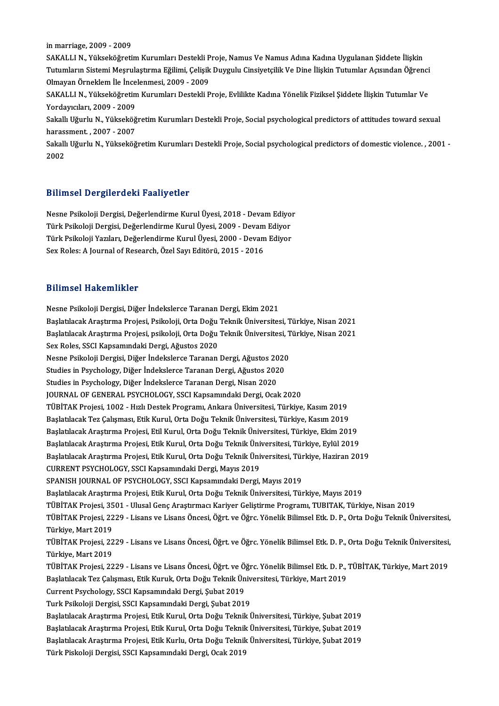in marriage, 2009 - 2009

in marriage, 2009 - 2009<br>SAKALLI N., Yükseköğretim Kurumları Destekli Proje, Namus Ve Namus Adına Kadına Uygulanan Şiddete İlişkin<br>Tutumların Sistemi Mesmilastuma Eğilimi, Celisil: Duygulu Cingiyetsilil: Ve Dine İlişkin Tu in marriage, 2009 - 2009<br>SAKALLI N., Yükseköğretim Kurumları Destekli Proje, Namus Ve Namus Adına Kadına Uygulanan Şiddete İlişkin<br>Tutumların Sistemi Meşrulaştırma Eğilimi, Çelişik Duygulu Cinsiyetçilik Ve Dine İlişkin Tut SAKALLI N., Yükseköğretim Kurumları Destekli P<br>Tutumların Sistemi Meşrulaştırma Eğilimi, Çelişik<br>Olmayan Örneklem İle İncelenmesi, 2009 - 2009<br>SAKALLI N. Vülseköğretim Kurumları Destekli B Tutumların Sistemi Meşrulaştırma Eğilimi, Çelişik Duygulu Cinsiyetçilik Ve Dine İlişkin Tutumlar Açısından Öğrenci<br>Olmayan Örneklem İle İncelenmesi, 2009 - 2009<br>SAKALLI N., Yükseköğretim Kurumları Destekli Proje, Evlilikte Olmayan Örneklem İle İncelenmesi, 2009 - 2009

SAKALLI N., Yükseköğretim Kurumları Destekli Proje, Evlilikte Kadına Yönelik Fiziksel Şiddete İlişkin Tutumlar Ve<br>Yordayıcıları, 2009 - 2009<br>Sakallı Uğurlu N., Yükseköğretim Kurumları Destekli Proje, Social psychological p

Yordayıcıları, 2009 - 2009<br>Sakallı Uğurlu N., Yükseköğ<br>harassment. , 2007 - 2007<br>Sakallı Uğurlu N., Yükseköğ Sakallı Uğurlu N., Yükseköğretim Kurumları Destekli Proje, Social psychological predictors of attitudes toward sexual<br>harassment. , 2007 - 2007<br>Sakallı Uğurlu N., Yükseköğretim Kurumları Destekli Proje, Social psychologica

haras:<br>Sakall<br>2002

# 2002<br>Bilimsel Dergilerdeki Faaliyetler

Bilimsel Dergilerdeki Faaliyetler<br>Nesne Psikoloji Dergisi, Değerlendirme Kurul Üyesi, 2018 - Devam Ediyor<br>Türk Psikoloji Dergisi, Değerlendirme Kurul Üyesi, 2009 - Devam Ediyor Dirimoor Dorgiror dom 1 dariy ocior<br>Nesne Psikoloji Dergisi, Değerlendirme Kurul Üyesi, 2018 - Devam Ediyo<br>Türk Psikoloji Dergisi, Değerlendirme Kurul Üyesi, 2009 - Devam Ediyor<br>Türk Psikoloji Varıları, Değerlendirme Kurul Nesne Psikoloji Dergisi, Değerlendirme Kurul Üyesi, 2018 - Devam Ediyor<br>Türk Psikoloji Dergisi, Değerlendirme Kurul Üyesi, 2009 - Devam Ediyor<br>Türk Psikoloji Yazıları, Değerlendirme Kurul Üyesi, 2000 - Devam Ediyor<br>Sav Ral Türk Psikoloji Dergisi, Değerlendirme Kurul Üyesi, 2009 - Devam Ediyor<br>Türk Psikoloji Yazıları, Değerlendirme Kurul Üyesi, 2000 - Devam Ediyor<br>Sex Roles: A Journal of Research, Özel Sayı Editörü, 2015 - 2016

#### Bilimsel Hakemlikler

Nesne Psikoloji Dergisi, Diğer İndekslerce Taranan Dergi, Ekim 2021 Barrinoor raunomminist<br>Nesne Psikoloji Dergisi, Diğer İndekslerce Taranan Dergi, Ekim 2021<br>Başlatılacak Araştırma Projesi, Psikoloji, Orta Doğu Teknik Üniversitesi, Türkiye, Nisan 2021<br>Başlatılacak Arastırma Projesi, Psiko Nesne Psikoloji Dergisi, Diğer İndekslerce Taranan Dergi, Ekim 2021<br>Başlatılacak Araştırma Projesi, Psikoloji, Orta Doğu Teknik Üniversitesi, Türkiye, Nisan 2021<br>Başlatılacak Araştırma Projesi, psikoloji, Orta Doğu Teknik Başlatılacak Araştırma Projesi, Psikoloji, Orta Doğu<br>Başlatılacak Araştırma Projesi, psikoloji, Orta Doğu<br>Sex Roles, SSCI Kapsamındaki Dergi, Ağustos 2020<br>Nesne Psikoloji Dergisi, Diğer İndekalarec Taranan Başlatılacak Araştırma Projesi, psikoloji, Orta Doğu Teknik Üniversitesi, Türkiye, Nisan 2021<br>Sex Roles, SSCI Kapsamındaki Dergi, Ağustos 2020<br>Nesne Psikoloji Dergisi, Diğer İndekslerce Taranan Dergi, Ağustos 2020 Sex Roles, SSCI Kapsamındaki Dergi, Ağustos 2020<br>Nesne Psikoloji Dergisi, Diğer İndekslerce Taranan Dergi, Ağustos 2020<br>Studies in Psychology, Diğer İndekslerce Taranan Dergi, Ağustos 2020<br>Studies in Psychology, Diğer İnde Nesne Psikoloji Dergisi, Diğer İndekslerce Taranan Dergi, Ağustos 20<br>Studies in Psychology, Diğer İndekslerce Taranan Dergi, Ağustos 202<br>Studies in Psychology, Diğer İndekslerce Taranan Dergi, Nisan 2020<br>JOUPNAL OF CENERAL Studies in Psychology, Diğer İndekslerce Taranan Dergi, Ağustos 2020<br>Studies in Psychology, Diğer İndekslerce Taranan Dergi, Nisan 2020<br>JOURNAL OF GENERAL PSYCHOLOGY, SSCI Kapsamındaki Dergi, Ocak 2020<br>TÜRİTAK Prejesi, 100 Studies in Psychology, Diğer İndekslerce Taranan Dergi, Nisan 2020<br>JOURNAL OF GENERAL PSYCHOLOGY, SSCI Kapsamındaki Dergi, Ocak 2020<br>TÜBİTAK Projesi, 1002 - Hızlı Destek Programı, Ankara Üniversitesi, Türkiye, Kasım 2019<br>B JOURNAL OF GENERAL PSYCHOLOGY, SSCI Kapsamındaki Dergi, Ocak 2020<br>TÜBİTAK Projesi, 1002 - Hızlı Destek Programı, Ankara Üniversitesi, Türkiye, Kasım 2019<br>Başlatılacak Tez Çalışması, Etik Kurul, Orta Doğu Teknik Üniversites TÜBİTAK Projesi, 1002 - Hızlı Destek Programı, Ankara Üniversitesi, Türkiye, Kasım 2019<br>Başlatılacak Tez Çalışması, Etik Kurul, Orta Doğu Teknik Üniversitesi, Türkiye, Kasım 2019<br>Başlatılacak Araştırma Projesi, Etil Kurul, Başlatılacak Tez Çalışması, Etik Kurul, Orta Doğu Teknik Üniversitesi, Türkiye, Kasım 2019<br>Başlatılacak Araştırma Projesi, Etil Kurul, Orta Doğu Teknik Üniversitesi, Türkiye, Ekim 2019<br>Başlatılacak Araştırma Projesi, Etik Başlatılacak Araştırma Projesi, Etil Kurul, Orta Doğu Teknik Üniversitesi, Türkiye, Ekim 2019<br>Başlatılacak Araştırma Projesi, Etik Kurul, Orta Doğu Teknik Üniversitesi, Türkiye, Eylül 2019<br>Başlatılacak Araştırma Projesi, E Başlatılacak Araştırma Projesi, Etik Kurul, Orta Doğu Teknik Üni<br>Başlatılacak Araştırma Projesi, Etik Kurul, Orta Doğu Teknik Üni<br>CURRENT PSYCHOLOGY, SSCI Kapsamındaki Dergi, Mayıs 2019<br>SPANISH JOUPNAL OF PSYCHOLOCY, SSCI Başlatılacak Araştırma Projesi, Etik Kurul, Orta Doğu Teknik Üniversitesi, Türkiye, Haziran 2019<br>CURRENT PSYCHOLOGY, SSCI Kapsamındaki Dergi, Mayıs 2019<br>SPANISH JOURNAL OF PSYCHOLOGY, SSCI Kapsamındaki Dergi, Mayıs 2019 Başlatılacak Araştırma Projesi, Etik Kurul, Orta Doğu Teknik Üniversitesi, Türkiye, Mayıs 2019 TÜBİTAK Projesi, 3501 - Ulusal Genç Araştırmacı Kariyer Geliştirme Programı, TUBITAK, Türkiye, Nisan 2019 Başlatılacak Araştırma Projesi, Etik Kurul, Orta Doğu Teknik Üniversitesi, Türkiye, Mayıs 2019<br>TÜBİTAK Projesi, 3501 - Ulusal Genç Araştırmacı Kariyer Geliştirme Programı, TUBITAK, Türkiye, Nisan 2019<br>TüBİTAK Projesi, 2229 TÜBİTAK Projesi, 35<br>TÜBİTAK Projesi, 22<br>Türkiye, Mart 2019<br>TÜBİTAK Projesi, 33 TÜBİTAK Projesi, 2229 - Lisans ve Lisans Öncesi, Öğrt. ve Öğrc. Yönelik Bilimsel Etk. D. P., Orta Doğu Teknik Üniversitesi,<br>Türkiye, Mart 2019<br>TüBİTAK Projesi, 2229 - Lisans ve Lisans Öncesi, Öğrt. ve Öğrc. Yönelik Bilimse Türkiye, Mart 2019<br>TÜBİTAK Projesi, 22<br>Türkiye, Mart 2019<br>TÜBİTAK Projesi, 22 TÜBİTAK Projesi, 2229 - Lisans ve Lisans Öncesi, Öğrt. ve Öğrc. Yönelik Bilimsel Etk. D. P., Orta Doğu Teknik Üniversitesi,<br>Türkiye, Mart 2019<br>TÜBİTAK Projesi, 2229 - Lisans ve Lisans Öncesi, Öğrt. ve Öğrc. Yönelik Bilimse Türkiye, Mart 2019<br>TÜBİTAK Projesi, 2229 - Lisans ve Lisans Öncesi, Öğrt. ve Öğrc. Yönelik Bilimsel Etk. D. P., TÜBİTAK, Türkiye, Mart 2019<br>Başlatılacak Tez Çalışması, Etik Kuruk, Orta Doğu Teknik Üniversitesi, Türkiye, Ma TÜBİTAK Projesi, 2229 - Lisans ve Lisans Öncesi, Öğrt. ve Ö<br>Başlatılacak Tez Çalışması, Etik Kuruk, Orta Doğu Teknik Ün<br>Current Psychology, SSCI Kapsamındaki Dergi, Şubat 2019<br>Turk Psikoloji Dergisi, SSCI Kapsamındaki Derg Başlatılacak Tez Çalışması, Etik Kuruk, Orta Doğu Teknik Üniv<br>Current Psychology, SSCI Kapsamındaki Dergi, Şubat 2019<br>Turk Psikoloji Dergisi, SSCI Kapsamındaki Dergi, Şubat 2019<br>Başlatılasak Arastuma Praiasi, Etik Kurul, O Current Psychology, SSCI Kapsamındaki Dergi, Şubat 2019<br>Turk Psikoloji Dergisi, SSCI Kapsamındaki Dergi, Şubat 2019<br>Başlatılacak Araştırma Projesi, Etik Kurul, Orta Doğu Teknik Üniversitesi, Türkiye, Şubat 2019<br>Başlatılaca Turk Psikoloji Dergisi, SSCI Kapsamındaki Dergi, Şubat 2019<br>Başlatılacak Araştırma Projesi, Etik Kurul, Orta Doğu Teknik Üniversitesi, Türkiye, Şubat 2019<br>Başlatılacak Araştırma Projesi, Etik Kurul, Orta Doğu Teknik Üniver Başlatılacak Araştırma Projesi, Etik Kurul, Orta Doğu Teknik Üniversitesi, Türkiye, Şubat 2019<br>Başlatılacak Araştırma Projesi, Etik Kurul, Orta Doğu Teknik Üniversitesi, Türkiye, Şubat 2019<br>Başlatılacak Araştırma Projesi, Başlatılacak Araştırma Projesi, Etik Kurul, Orta Doğu Teknik Üniversitesi, Türkiye, Şubat 2019<br>Başlatılacak Araştırma Projesi, Etik Kurlu, Orta Doğu Teknik Üniversitesi, Türkiye, Şubat 2019<br>Türk Piskoloji Dergisi, SSCI Kap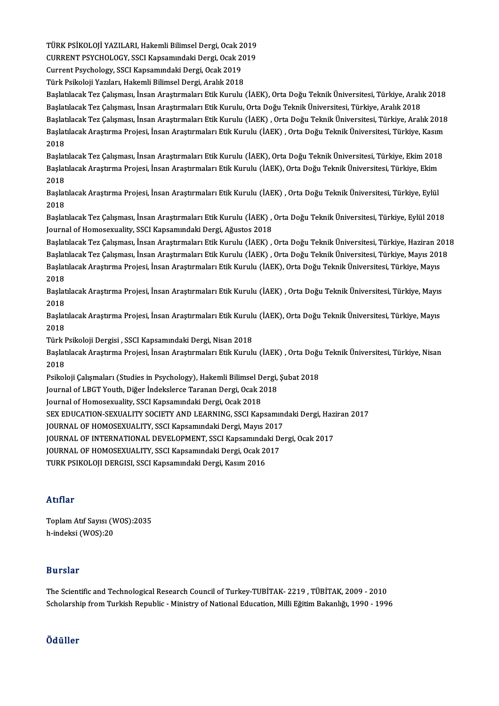TÜRK PSİKOLOJİ YAZILARI, Hakemli Bilimsel Dergi, Ocak 2019<br>CURRENT RSYCHOLOCY, SSCI Kansamındali Dergi, Osak 2019 TÜRK PSİKOLOJİ YAZILARI, Hakemli Bilimsel Dergi, Ocak 2019<br>CURRENT PSYCHOLOGY, SSCI Kapsamındaki Dergi, Ocak 2019<br>Current Pevebelegy, SSCI Kapsamındaki Dergi, Osak 2019 TÜRK PSİKOLOJİ YAZILARI, Hakemli Bilimsel Dergi, Ocak 2<br>CURRENT PSYCHOLOGY, SSCI Kapsamındaki Dergi, Ocak 20<br>Current Psychology, SSCI Kapsamındaki Dergi, Ocak 2019<br>Türk Psikoloji Yarıları, Hakemli Bilimsel Dergi, Aralık 20

CURRENT PSYCHOLOGY, SSCI Kapsamındaki Dergi, Ocak 20<br>Current Psychology, SSCI Kapsamındaki Dergi, Ocak 2019<br>Türk Psikoloji Yazıları, Hakemli Bilimsel Dergi, Aralık 2018<br>Baslatilasel: Ter Columası, İnsan Arastumaları Etik K

Current Psychology, SSCI Kapsamındaki Dergi, Ocak 2019<br>Türk Psikoloji Yazıları, Hakemli Bilimsel Dergi, Aralık 2018<br>Başlatılacak Tez Çalışması, İnsan Araştırmaları Etik Kurulu (İAEK), Orta Doğu Teknik Üniversitesi, Türkiye Türk Psikoloji Yazıları, Hakemli Bilimsel Dergi, Aralık 2018<br>Başlatılacak Tez Çalışması, İnsan Araştırmaları Etik Kurulu (İAEK), Orta Doğu Teknik Üniversitesi, Türkiye, Aralı<br>Başlatılacak Tez Çalışması, İnsan Araştırmaları Başlatılacak Tez Çalışması, İnsan Araştırmaları Etik Kurulu (İAEK), Orta Doğu Teknik Üniversitesi, Türkiye, Aralık 2018<br>Başlatılacak Tez Çalışması, İnsan Araştırmaları Etik Kurulu, Orta Doğu Teknik Üniversitesi, Türkiye, A Başlatılacak Tez Çalışması, İnsan Araştırmaları Etik Kurulu, Orta Doğu Teknik Üniversitesi, Türkiye, Aralık 2018<br>Başlatılacak Tez Çalışması, İnsan Araştırmaları Etik Kurulu (İAEK) , Orta Doğu Teknik Üniversitesi, Türkiye, Başlat<br>Başlat<br>2018 Başlatılacak Araştırma Projesi, İnsan Araştırmaları Etik Kurulu (İAEK) , Orta Doğu Teknik Üniversitesi, Türkiye, Kasım<br>2018<br>Başlatılacak Tez Çalışması, İnsan Araştırmaları Etik Kurulu (İAEK), Orta Doğu Teknik Üniversitesi,

2018<br>Başlatılacak Tez Çalışması, İnsan Araştırmaları Etik Kurulu (İAEK), Orta Doğu Teknik Üniversitesi, Türkiye, Ekim 2018<br>Başlatılacak Araştırma Projesi, İnsan Araştırmaları Etik Kurulu (İAEK), Orta Doğu Teknik Üniversite Başlat<br>Başlat<br>2018 Başlatılacak Araştırma Projesi, İnsan Araştırmaları Etik Kurulu (İAEK), Orta Doğu Teknik Üniversitesi, Türkiye, Ekim<br>2018<br>Başlatılacak Araştırma Projesi, İnsan Araştırmaları Etik Kurulu (İAEK) , Orta Doğu Teknik Üniversite

2018<br>Başlat<br>2018<br>Başlat Başlatılacak Araştırma Projesi, İnsan Araştırmaları Etik Kurulu (İAEK) , Orta Doğu Teknik Üniversitesi, Türkiye, Eylül<br>2018<br>Başlatılacak Tez Çalışması, İnsan Araştırmaları Etik Kurulu (İAEK) , Orta Doğu Teknik Üniversitesi

2018<br>Başlatılacak Tez Çalışması, İnsan Araştırmaları Etik Kurulu (İAEK) ,<br>Journal of Homosexuality, SSCI Kapsamındaki Dergi, Ağustos 2018<br>Başlatılaçak Tez Çalışması, İnsan Arastırmaları Etik Kurulu (İAEK)

Journal of Homosexuality, SSCI Kapsamındaki Dergi, Ağustos 2018<br>Başlatılacak Tez Çalışması, İnsan Araştırmaları Etik Kurulu (İAEK) , Orta Doğu Teknik Üniversitesi, Türkiye, Haziran 2018 Journal of Homosexuality, SSCI Kapsamındaki Dergi, Ağustos 2018<br>Başlatılacak Tez Çalışması, İnsan Araştırmaları Etik Kurulu (İAEK) , Orta Doğu Teknik Üniversitesi, Türkiye, Haziran 201<br>Başlatılacak Tez Çalışması, İnsan Ara Başlatılacak Tez Çalışması, İnsan Araştırmaları Etik Kurulu (İAEK) , Orta Doğu Teknik Üniversitesi, Türkiye, Haziran 20<br>Başlatılacak Tez Çalışması, İnsan Araştırmaları Etik Kurulu (İAEK) , Orta Doğu Teknik Üniversitesi, Tü Başlat<br>Başlat<br>2018 Başlatılacak Araştırma Projesi, İnsan Araştırmaları Etik Kurulu (İAEK), Orta Doğu Teknik Üniversitesi, Türkiye, Mayıs<br>2018<br>Başlatılacak Araştırma Projesi, İnsan Araştırmaları Etik Kurulu (İAEK) , Orta Doğu Teknik Üniversit

Başlatılacak Araştırma Projesi, İnsan Araştırmaları Etik Kurulu (İAEK), Orta Doğu Teknik Üniversitesi, Türkiye, Mayıs Başlatılacak Araştırma Projesi, İnsan Araştırmaları Etik Kurulu (İAEK) , Orta Doğu Teknik Üniversitesi, Türkiye, Mayıs<br>2018<br>Başlatılacak Araştırma Projesi, İnsan Araştırmaları Etik Kurulu (İAEK), Orta Doğu Teknik Üniversit

2018<br>Başlat<br>2018<br>Türk I Başlatılacak Araştırma Projesi, İnsan Araştırmaları Etik Kurulı<br>2018<br>Türk Psikoloji Dergisi , SSCI Kapsamındaki Dergi, Nisan 2018<br>Baslatılacak Arastırma Projesi, İnsan Arastırmaları Etik Kurulı

Türk Psikoloji Dergisi, SSCI Kapsamındaki Dergi, Nisan 2018

2018<br>Türk Psikoloji Dergisi , SSCI Kapsamındaki Dergi, Nisan 2018<br>Başlatılacak Araştırma Projesi, İnsan Araştırmaları Etik Kurulu (İAEK) , Orta Doğu Teknik Üniversitesi, Türkiye, Nisan<br>2018 Başlatılacak Araştırma Projesi, İnsan Araştırmaları Etik Kurulu (İAEK) , Orta Doğu<br>2018<br>Psikoloji Çalışmaları (Studies in Psychology), Hakemli Bilimsel Dergi, Şubat 2018<br>Journal of LBCT Youth, Diğer İndekslarse Taranan Der 2018<br>Psikoloji Çalışmaları (Studies in Psychology), Hakemli Bilimsel Dergi,<br>Journal of LBGT Youth, Diğer İndekslerce Taranan Dergi, Ocak 2018<br>Journal of Homosovuality, SSCI Kansamındaki Dergi, Ocak 2018

Journal of LBGT Youth, Diğer İndekslerce Taranan Dergi, Ocak 2018<br>Journal of Homosexuality, SSCI Kapsamındaki Dergi, Ocak 2018

SEX EDUCATION-SEXUALITY SOCIETY AND LEARNING, SSCI Kapsamındaki Dergi, Haziran 2017 SEX EDUCATION-SEXUALITY SOCIETY AND LEARNING, SSCI Kapsamındaki Dergi, Haz<br>JOURNAL OF HOMOSEXUALITY, SSCI Kapsamındaki Dergi, Mayıs 2017<br>JOURNAL OF INTERNATIONAL DEVELOPMENT, SSCI Kapsamındaki Dergi, Ocak 2017<br>JOURNAL OF H

JOURNAL OF HOMOSEXUALITY, SSCI Kapsamındaki Dergi, Mayıs 2017

JOURNAL OF HOMOSEXUALITY, SSCI Kapsamındaki Dergi, Mayıs 2017<br>JOURNAL OF INTERNATIONAL DEVELOPMENT, SSCI Kapsamındaki De<br>JOURNAL OF HOMOSEXUALITY, SSCI Kapsamındaki Dergi, Ocak 2017<br>TURK PSIKOLOU DERGISL SSCI Kapsamındaki JOURNAL OF INTERNATIONAL DEVELOPMENT, SSCI Kapsamında<br>JOURNAL OF HOMOSEXUALITY, SSCI Kapsamındaki Dergi, Ocak 2(<br>TURK PSIKOLOJI DERGISI, SSCI Kapsamındaki Dergi, Kasım 2016

TURK PSIKOLOJI DERGISI, SSCI Kapsamındaki Dergi, Kasım 2016<br>Atıflar

Atıflar<br>Toplam Atıf Sayısı (WOS):2035<br>b.indeksi (WOS):20 rrerrer<br>Toplam Atıf Sayısı (V<br>h-indeksi (WOS):20 h-indeksi (WOS):20<br>Burslar

**Burslar**<br>The Scientific and Technological Research Council of Turkey-TUBİTAK- 2219 , TÜBİTAK, 2009 - 2010<br>Sebelarakin fram Turkish Banublis , Ministry of National Education Milli Eğitim Bakanlığı 1999 - 1990 Dur Star<br>The Scientific and Technological Research Council of Turkey-TUBİTAK- 2219 , TÜBİTAK, 2009 - 2010<br>Scholarship from Turkish Republic - Ministry of National Education, Milli Eğitim Bakanlığı, 1990 - 1996 Scholarship from Turkish Republic - Ministry of National Education, Milli Eğitim Bakanlığı, 1990 - 1996<br>Ödüller